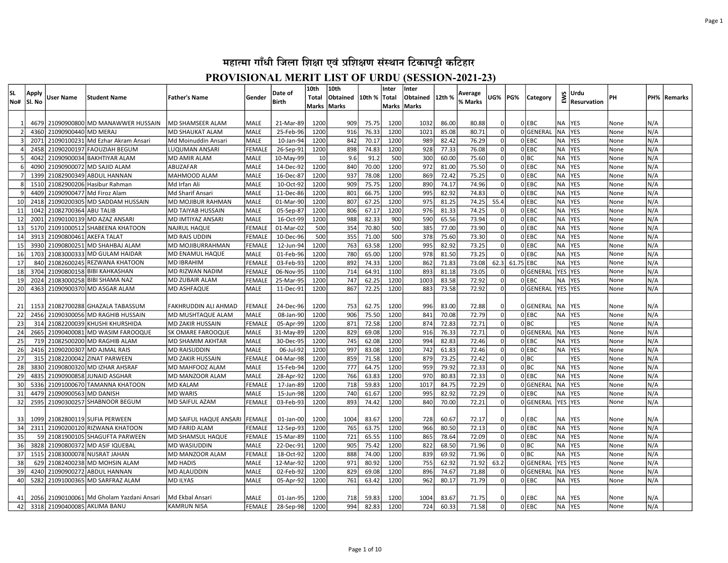| lsl.           | Apply<br>lSI. No | User Name                    | Student Name                         | <b>Father's Name</b>     | Gender              | Date of<br><b>Birth</b> | 10th<br>Total | 10th<br>Obtained | 10th % Total  | Inter       | Inter<br>Obtained 12th % |                | Average<br>% Marks | <b>UG%   PG%</b> |                | Category        | EWS                    | Urdu<br>Resurvation      | PН   |            | PH%   Remarks |
|----------------|------------------|------------------------------|--------------------------------------|--------------------------|---------------------|-------------------------|---------------|------------------|---------------|-------------|--------------------------|----------------|--------------------|------------------|----------------|-----------------|------------------------|--------------------------|------|------------|---------------|
| No#            |                  |                              |                                      |                          |                     |                         | Marks   Marks |                  |               | Marks       | <b>Marks</b>             |                |                    |                  |                |                 |                        |                          |      |            |               |
|                | 4679             |                              | 21090900800 MD MANAWWER HUSSAIN      | MD SHAMSEER ALAM         | MALE                | 21-Mar-89               | 1200          | 909              | 75.75         | 1200        | 1032                     | 86.00          | 80.88              |                  |                | 0 EBC           | NA                     | <b>YES</b>               | None | N/A        |               |
|                | 4360             | 21090900440 MD MERAJ         |                                      | <b>MD SHAUKAT ALAM</b>   | <b>MALE</b>         | 25-Feb-96               | 1200          | 916              | 76.33         | 1200        | 1021                     | 85.08          | 80.71              | $\Omega$         |                | OGENERAL        | <b>NA</b>              | <b>YES</b>               | None | N/A        |               |
|                | 2071             |                              | 21090100231 Md Ezhar Akram Ansari    | Md Moinuddin Ansari      | <b>MALE</b>         | 10-Jan-94               | 1200          | 842              | 70.17         | 1200        | 989                      | 82.42          | 76.29              | $\Omega$         |                | 0 EBC           | <b>NA</b>              | <b>YES</b>               | None | N/A        |               |
|                | 2458             |                              | 21090200197 FAOUZIAH BEGUM           | LUQUMAN ANSARI           | <b>FEMALE</b>       | 26-Sep-91               | 1200          | 898              | 74.83         | 1200        | 928                      | 77.33          | 76.08              | $\Omega$         |                | OLEBC           | <b>NA</b>              | <b>YES</b>               | None | N/A        |               |
|                | 4042             |                              | 21090900034 BAKHTIYAR ALAM           | <b>MD AMIR ALAM</b>      |                     |                         |               |                  |               |             |                          |                |                    | $\Omega$         |                |                 |                        |                          | None |            |               |
| -6             | 4090             |                              | 21090900072 MD SAJID ALAM            | ABUZAFAR                 | MALE<br><b>MALE</b> | 10-May-99<br>14-Dec-92  | 10<br>1200    | 9.6<br>840       | 91.2<br>70.00 | 500<br>1200 | 300<br>972               | 60.00<br>81.00 | 75.60<br>75.50     | $\Omega$         |                | 0 BC<br>$0$ EBC | <b>NA</b><br><b>NA</b> | <b>YES</b><br><b>YES</b> | None | N/A        |               |
| $\overline{7}$ | 1399             |                              | 21082900349 ABDUL HANNAN             | MAHMOOD ALAM             | <b>MALE</b>         | 16-Dec-87               | 1200          | 937              | 78.08         | 1200        | 869                      | 72.42          | 75.25              | $\Omega$         |                | $0$ EBC         | <b>NA</b>              | <b>YES</b>               | None | N/A<br>N/A |               |
| 8              | 1510             |                              | 21082900206 Hasibur Rahman           | Md Irfan Ali             | <b>MALE</b>         | 10-Oct-92               | 1200          | 909              | 75.75         | 1200        | 890                      | 74.17          | 74.96              | 0                |                | $0$ EBC         | <b>NA</b>              | <b>YES</b>               | None | N/A        |               |
| q              | 4409             |                              | 21090900477 Md Firoz Alam            | Md Sharif Ansari         | MALE                | 11-Dec-86               | 1200          | 801              | 66.75         | 1200        | 995                      | 82.92          | 74.83              | $\Omega$         |                | $0$ EBC         | <b>NA</b>              | <b>YES</b>               | None | N/A        |               |
| 10             | 2418             |                              | 21090200305 MD SADDAM HUSSAIN        | MD MOJIBUR RAHMAN        | <b>MALE</b>         | 01-Mar-90               | 1200          | 807              | 67.25         | 1200        | 975                      | 81.25          | 74.25              | 55.4             |                | OLEBC           | <b>NA</b>              | <b>YES</b>               | None | N/A        |               |
| 11             | 1042             | 21082700364 ABU TALIB        |                                      | <b>MD TAIYAB HUSSAIN</b> | <b>MALE</b>         | 05-Sep-87               | 1200          | 806              | 67.17         | 1200        | 976                      | 81.33          | 74.25              |                  |                | OLEBC           | <b>NA</b>              | <b>YES</b>               | None | N/A        |               |
| 12             | 2001             |                              | 21090100139 MD AZAZ ANSARI           | MD IMTIYAZ ANSARI        | MALE                | 16-Oct-99               | 1200          | 988              | 82.33         | 900         | 590                      | 65.56          | 73.94              |                  |                | OLEBC           | <b>NA</b>              | <b>YES</b>               | None | N/A        |               |
| 13             | 5170             |                              | 21091000512 SHABEENA KHATOON         | <b>NAJRUL HAQUE</b>      | FEMALE              | 01-Mar-02               | 500           | 354              | 70.80         | 500         | 385                      | 77.00          | 73.90              |                  |                | $0$ EBC         | NA                     | <b>YES</b>               | None | N/A        |               |
| 14             | 3913             | 21090800461 AKEFA TALAT      |                                      | <b>MD RAIS UDDIN</b>     | FEMALE              | 10-Dec-96               | 500           | 355              | 71.00         | 500         | 378                      | 75.60          | 73.30              |                  |                | $0$ EBC         | <b>NA</b>              | <b>YES</b>               | None | N/A        |               |
| 15             | 3930             |                              | 21090800251 MD SHAHBAJ ALAM          | MD MOJIBURRAHMAN         | FEMALE              | 12-Jun-94               | 1200          | 763              | 63.58         | 1200        | 995                      | 82.92          | 73.25              |                  |                | $0$ EBC         | <b>NA</b>              | YES                      | None | N/A        |               |
| 16             | 1703             |                              | 21083000333 MD GULAM HAIDAR          | MD ENAMUL HAQUE          | MALE                | 01-Feb-96               | 1200          | 780              | 65.00         | 1200        | 978                      | 81.50          | 73.25              | $\Omega$         |                | 0 EBC           | <b>NA</b>              | <b>YES</b>               | None | N/A        |               |
| 17             | 840              |                              | 21082600245 REZWANA KHATOON          | <b>MD IBRAHIM</b>        | FEMALE              | 03-Feb-93               | 1200          | 892              | 74.33         | 1200        | 862                      | 71.83          | 73.08              |                  | 62.3 61.75 EBC |                 | <b>NA</b>              | <b>YES</b>               | None | N/A        |               |
| 18             | 3704             |                              | 21090800158 BIBI KAHKASHAN           | MD RIZWAN NADIM          | <b>FEMALE</b>       | 06-Nov-95               | 1100          | 714              | 64.91         | 1100        | 893                      | 81.18          | 73.05              | $\Omega$         |                | 0GENERAL        | YES YES                |                          | None | N/A        |               |
| 19             | 2024             |                              | 21083000258 BIBI SHAMA NAZ           | MD ZUBAIR ALAM           | <b>FEMALE</b>       | 25-Mar-95               | 1200          | 747              | 62.25         | 1200        | 1003                     | 83.58          | 72.92              | $\Omega$         |                | OLEBC           | <b>NA</b>              | lyes                     | None | N/A        |               |
| 20             | 4363             |                              | 21090900370 MD ASGAR ALAM            | MD ASHFAQUE              | <b>MALE</b>         | 11-Dec-91               | 1200          | 867              | 72.25         | 1200        | 883                      | 73.58          | 72.92              | $\Omega$         |                | 0GENERAL        | YES YES                |                          | None | N/A        |               |
|                |                  |                              |                                      |                          |                     |                         |               |                  |               |             |                          |                |                    |                  |                |                 |                        |                          |      |            |               |
| 21             | 1153             |                              | 21082700288 GHAZALA TABASSUM         | FAKHRUDDIN ALI AHMAD     | FEMALE              | 24-Dec-96               | 1200          | 753              | 62.75         | 1200        | 996                      | 83.00          | 72.88              | n                |                | 0GENERAL        | NA                     | <b>IYES</b>              | None | N/A        |               |
| 22             | 2456             |                              | 21090300056 MD RAGHIB HUSSAIN        | MD MUSHTAQUE ALAM        | <b>MALE</b>         | 08-Jan-90               | 1200          | 906              | 75.50         | 1200        | 841                      | 70.08          | 72.79              | 0l               |                | OLEBC           | <b>NA</b>              | <b>IYES</b>              | None | N/A        |               |
| 23             | 314              |                              | 21082200039 KHUSHI KHURSHIDA         | MD ZAKIR HUSSAIN         | <b>FEMALE</b>       | 05-Apr-99               | 1200          | 871              | 72.58         | 1200        | 874                      | 72.83          | 72.71              | $\Omega$         |                | olbc            |                        | <b>YES</b>               | None | N/A        |               |
| 24             | 2665             |                              | 21090400081 MD WASIM FAROOQUE        | SK OMARE FAROOQUE        | MALE                | 31-May-89               | 1200          | 829              | 69.08         | 1200        | 916                      | 76.33          | 72.71              | $\Omega$         |                | 0GENERAL        | NA                     | <b>YES</b>               | None | N/A        |               |
| 25             | 719              |                              | 21082500200 MD RAGHIB ALAM           | <b>MD SHAMIM AKHTAR</b>  | MALE                | 30-Dec-95               | 1200          | 745              | 62.08         | 1200        | 994                      | 82.83          | 72.46              | $\Omega$         |                | 0 EBC           | <b>NA</b>              | <b>YES</b>               | None | N/A        |               |
| 26             | 2416             |                              | 21090200307 MD AJMAL RAIS            | <b>MD RAISUDDIN</b>      | MALE                | 06-Jul-92               | 1200          | 997              | 83.08         | 1200        | 742                      | 61.83          | 72.46              | $\Omega$         |                | 0 EBC           | <b>NA</b>              | <b>YES</b>               | None | N/A        |               |
| 27             | 315              |                              | 21082200042 ZINAT PARWEEN            | <b>MD ZAKIR HUSSAIN</b>  | FEMALE              | 04-Mar-98               | 1200          | 859              | 71.58         | 1200        | 879                      | 73.25          | 72.42              | $\Omega$         |                | olbc            |                        | <b>YES</b>               | None | N/A        |               |
| 28             | 3830             |                              | 21090800320 MD IZHAR AHSRAF          | MD MAHFOOZ ALAM          | <b>MALE</b>         | 15-Feb-94               | 1200          | 777              | 64.75         | 1200        | 959                      | 79.92          | 72.33              | $\Omega$         |                | olbc            | <b>NA</b>              | <b>YES</b>               | None | N/A        |               |
| 29             | 4835             |                              | 21090900858 JUNAID ASGHAR            | MD MANZOOR ALAM          | <b>MALE</b>         | 28-Apr-92               | 1200          | 766              | 63.83         | 1200        | 970                      | 80.83          | 72.33              | $\Omega$         |                | OLEBC           | <b>NA</b>              | <b>IYES</b>              | None | N/A        |               |
| 30             | 5336             |                              | 21091000670 TAMANNA KHATOON          | <b>MD KALAM</b>          | <b>FEMALE</b>       | 17-Jan-89               | 1200          | 718              | 59.83         | 1200        | 1017                     | 84.75          | 72.29              | $\Omega$         |                | 0GENERAL        | <b>NA</b>              | <b>YES</b>               | None | N/A        |               |
| 31             | 4479             | 21090900563 MD DANISH        |                                      | <b>MD WARIS</b>          | <b>MALE</b>         | 15-Jun-98               | 1200          | 740              | 61.67         | 1200        | 995                      | 82.92          | 72.29              | $\Omega$         |                | $0$ EBC         | <b>NA</b>              | <b>YES</b>               | None | N/A        |               |
| 32             | 2595             |                              | 21090300257 SHABNOOR BEGUM           | MD SAIFUL AZAM           | FEMALE              | 03-Feb-93               | 1200          | 893              | 74.42         | 1200        | 840                      | 70.00          | 72.21              |                  |                | 0GENERAL        | YES YES                |                          | None | N/A        |               |
|                |                  |                              |                                      |                          |                     |                         |               |                  |               |             |                          |                |                    |                  |                |                 |                        |                          |      |            |               |
| 33             | 1099             |                              | 21082800119 SUFIA PERWEEN            | MD SAIFUL HAQUE ANSARI   | <b>FEMALE</b>       | 01-Jan-00               | 1200          | 1004             | 83.67         | 1200        | 728                      | 60.67          | 72.17              |                  |                | OIEBC           | NA                     | YES                      | None | N/A        |               |
| 34             | 2311             |                              | 21090200120 RIZWANA KHATOON          | <b>MD FARID ALAM</b>     | FEMALE              | 12-Sep-93               | 1200          | 765              | 63.75         | 1200        | 966                      | 80.50          | 72.13              |                  |                | 0 EBC           | <b>NA</b>              | <b>YES</b>               | None | N/A        |               |
| 35             | 59               |                              | 21081900105 SHAGUFTA PARWEEN         | MD SHAMSUL HAQUE         | FEMALE              | 15-Mar-89               | 1100          | 721              | 65.55         | 1100        | 865                      | 78.64          | 72.09              |                  |                | 0 EBC           | NA                     | <b>YES</b>               | None | N/A        |               |
| 36             | 3828             |                              | 21090800372 MD ASIF IQUEBAL          | MD WASIUDDIN             | MALE                | 22-Dec-91               | 1200          | 905              | 75.42         | 1200        | 822                      | 68.50          | 71.96              | $\Omega$         |                | 0 BC            | <b>NA</b>              | <b>YES</b>               | None | N/A        |               |
| 37             | 1515             |                              | 21083000078 NUSRAT JAHAN             | MD MANZOOR ALAM          | FEMALE              | 18-Oct-92               | 1200          | 888              | 74.00         | 1200        | 839                      | 69.92          | 71.96              | $\mathbf{0}$     |                | 0 BC            | <b>NA</b>              | <b>YES</b>               | None | N/A        |               |
| 38             | 629              |                              | 21082400238 MD MOHSIN ALAM           | <b>MD HADIS</b>          | MALE                | 12-Mar-92               | 1200          | 971              | 80.92         | 1200        | 755                      | 62.92          | 71.92              | 63.2             |                | 0GENERAL        | <b>YES</b>             | <b>YES</b>               | None | N/A        |               |
| 39             | 4240             |                              | 21090900272 ABDUL HANNAN             | <b>MD ALAUDDIN</b>       | MALE                | 02-Feb-92               | 1200          | 829              | 69.08         | 1200        | 896                      | 74.67          | 71.88              | 0                |                | 0GENERAL        | <b>NA</b>              | <b>YES</b>               | None | N/A        |               |
| 40             | 5282             |                              | 21091000365 MD SARFRAZ ALAM          | <b>MD ILYAS</b>          | MALE                | 05-Apr-92               | 1200          | 761              | 63.42         | 1200        | 962                      | 80.17          | 71.79              | 0l               |                | 0 EBC           | <b>NA</b>              | <b>IYES</b>              | None | N/A        |               |
|                |                  |                              |                                      |                          |                     |                         |               |                  |               |             |                          |                |                    |                  |                |                 |                        |                          |      |            |               |
| 41             | 2056             |                              | 21090100061 Md Gholam Yazdani Ansari | Md Ekbal Ansari          | MALE                | 01-Jan-95               | 1200          | 718              | 59.83         | 1200        | 1004                     | 83.67          | 71.75              |                  |                | OIEBC           | NA                     | <b>YES</b>               | None | N/A        |               |
| 42             |                  | 3318 21090400085 AKLIMA BANU |                                      | KAMRUN NISA              | FEMALE              | 28-Sep-98               | 1200          | 994              | 82.83         | 1200        | 724                      | 60.33          | 71.58              | $\Omega$         |                | OLEBC           | <b>NA</b>              | <b>YES</b>               | None | N/A        |               |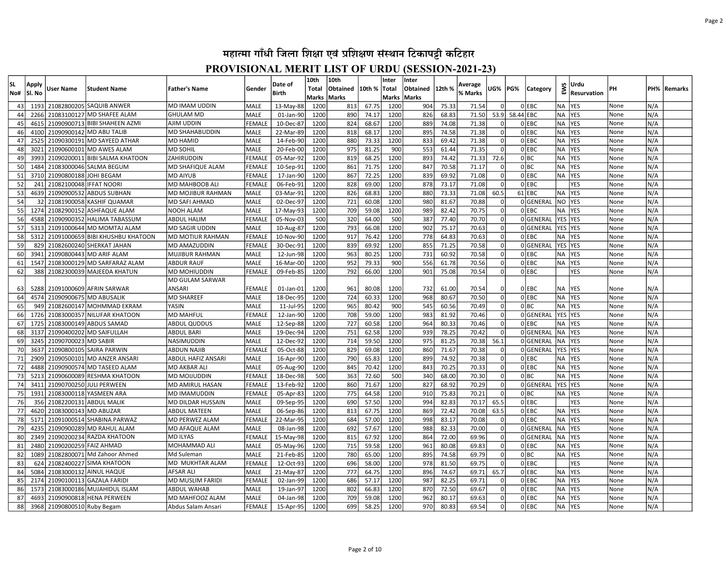| <b>SL</b> | Apply  | User Name                   | <b>Student Name</b>              | <b>Father's Name</b>      | Gender                       | Date of                | 10th<br>Total | 10th<br>Obtained | 10th %         | Inter<br>Total | Inter<br>Obtained | 12th %         | Average        | UG%      | PG%       | <b>Category</b>    | EWS             | Urdu               | PН   |     | PH% Remarks |
|-----------|--------|-----------------------------|----------------------------------|---------------------------|------------------------------|------------------------|---------------|------------------|----------------|----------------|-------------------|----------------|----------------|----------|-----------|--------------------|-----------------|--------------------|------|-----|-------------|
| No#       | Sl. No |                             |                                  |                           |                              | Birth                  |               | Marks  Marks     |                | Marks   Marks  |                   |                | % Marks        |          |           |                    |                 | <b>Resurvation</b> |      |     |             |
| 43        | 1193   |                             | 21082800205 SAQUIB ANWER         | MD IMAM UDDIN             | <b>MALE</b>                  | 13-May-88              | 1200          | 813              | 67.75          | 1200           | 904               | 75.33          | 71.54          |          |           | $0$ EBC            | <b>NA</b>       | <b>YES</b>         | None | N/A |             |
| 44        | 2266   |                             | 21083100127 MD SHAFEE ALAM       | <b>GHULAM MD</b>          | <b>MALE</b>                  | 01-Jan-90              | 1200          | 890              | 74.17          | 1200           | 826               | 68.83          | 71.50          | 53.9     | 58.44 EBC |                    | <b>NA</b>       | <b>YES</b>         | None | N/A |             |
| 45        | 4615   |                             | 21090900713 BIBI SHAHEEN AZMI    | AJIM UDDIN                | <b>FEMALE</b>                | 10-Dec-87              | 1200          | 824              | 68.67          | 1200           | 889               | 74.08          | 71.38          |          |           | $0$ EBC            | <b>NA</b>       | <b>YES</b>         | None | N/A |             |
| 46        | 4100   |                             | 21090900142 MD ABU TALIB         | MD SHAHABUDDIN            | <b>MALE</b>                  | 22-Mar-89              | 1200          | 818              | 68.17          | 1200           | 895               | 74.58          | 71.38          | $\Omega$ |           | $0$ EBC            | <b>NA</b>       | <b>YES</b>         | None | N/A |             |
| 47        | 2525   | 21090300191                 | MD SAYEED ATHAR                  | <b>MD HAMID</b>           | <b>MALE</b>                  | 14-Feb-90              | 1200          | 880              | 73.33          | 1200           | 833               | 69.42          | 71.38          | 0        |           | 0 EBC              | <b>NA</b>       | <b>YES</b>         | None | N/A |             |
| 48        | 3021   |                             | 21090600101 MD AWES ALAM         | <b>MD SOHIL</b>           | MALE                         | 20-Feb-00              | 1200          | 975              | 81.25          | 900            | 553               | 61.44          | 71.35          | $\Omega$ |           | OLEBC              | <b>NA</b>       | <b>YES</b>         | None | N/A |             |
| 49        | 3993   |                             | 21090200011 BIBI SALMA KHATOON   | ZAHIRUDDIN                | FEMAL                        | 05-Mar-92              | 1200          | 819              | 68.25          | 1200           | 893               | 74.42          | 71.33          | 72.6     |           | 0 BC               | <b>NA</b>       | <b>YES</b>         | None | N/A |             |
| 50        | 1484   |                             | 21083000046 SALMA BEGUM          | MD SHAFIQUE ALAM          | FEMALE                       | 10-Sep-91              | 1200          | 861              | 71.75          | 1200           | 847               | 70.58          | 71.17          | $\Omega$ |           | olbc               | <b>NA</b>       | <b>YES</b>         | None | N/A |             |
| 51        | 3710   | 21090800188 JOHI BEGAM      |                                  | <b>MD AIYUB</b>           | FEMALE                       | 17-Jan-90              | 1200          | 867              | 72.25          | 1200           | 839               | 69.92          | 71.08          | $\Omega$ |           | 0 EBC              | <b>NA</b>       | <b>YES</b>         | None | N/A |             |
| 52        | 241    | 21082100048 IFFAT NOORI     |                                  | MD MAHBOOB ALI            | FEMALE                       | 06-Feb-91              | 1200          | 828              | 69.00          | 1200           | 878               | 73.17          | 71.08          | $\Omega$ |           | $0$ EBC            |                 | <b>YES</b>         | None | N/A |             |
| 53        | 4639   |                             | 21090900532 ABDUS SUBHAN         | MD MOJIBUR RAHMAN         | <b>MALE</b>                  | 03-Mar-91              | 1200          | 826              | 68.83          | 1200           | 880               | 73.33          | 71.08          | 60.5     |           | $61$ EBC           | <b>NA</b>       | <b>YES</b>         | None | N/A |             |
| 54        | 32     |                             | 21081900058 KASHIF QUAMAR        | MD SAFI AHMAD             | MALE                         | 02-Dec-97              | 1200          | 721              | 60.08          | 1200           | 980               | 81.67          | 70.88          | $\Omega$ |           | 0GENERAL           | N <sub>O</sub>  | <b>YES</b>         | None | N/A |             |
| 55        | 1274   |                             | 21082900152 ASHFAQUE ALAM        | <b>NOOH ALAM</b>          | <b>MALE</b>                  | 17-May-93              | 1200          | 709              | 59.08          | 1200           | 989               | 82.42          | 70.75          | $\Omega$ |           | $0$ EBC            | <b>NA</b>       | <b>YES</b>         | None | N/A |             |
| 56        | 4588   |                             | 21090900352 HALIMA TABASSUM      | ABDUL HALIM               | FEMALI                       | 05-Nov-03              | 500           | 320              | 64.00          | 500            | 387               | 77.40          | 70.70          | $\Omega$ |           | 0GENERAL           | YES             | <b>YES</b>         | None | N/A |             |
| 57        | 5313   |                             | 21091000644 MD MOMTAJ ALAM       | <b>MD SAGIR UDDIN</b>     | <b>MALE</b>                  | 10-Aug-87              | 1200          | 793              | 66.08          | 1200           | 902               | 75.17          | 70.63          | $\Omega$ |           | 0GENERAL           | YES YES         |                    | None | N/A |             |
| 58        | 5312   |                             | 21091000659 BIBI KHUSHBU KHATOON | <b>MD MOTIUR RAHMAN</b>   | FEMALE                       | 10-Nov-90              | 1200          | 917              | 76.42          | 1200           | 778               | 64.83          | 70.63          | $\Omega$ |           | $0$ EBC            | <b>NA</b>       | <b>YES</b>         | None | N/A |             |
| 59        | 829    |                             | 21082600240 SHERKAT JAHAN        | <b>MD AMAZUDDIN</b>       | FEMALE                       | 30-Dec-91              | 1200          | 839              | 69.92          | 1200           | 855               | 71.25          | 70.58          | $\Omega$ |           | OGENERAL           | YES YES         |                    | None | N/A |             |
| 60        | 3941   |                             | 21090800443 MD ARIF ALAM         | MUJIBUR RAHMAN            | <b>MALE</b>                  | 12-Jun-98              | 1200          | 963              | 80.25          | 1200           | 731               | 60.92          | 70.58          | 0        |           | $0$ EBC            | <b>NA</b>       | <b>YES</b>         | None | N/A |             |
| 61        | 1547   |                             | 21083000129 MD SARFARAZ ALAM     | <b>ABDUR RAUF</b>         | <b>MALE</b>                  | 16-Mar-00              | 1200          | 952              | 79.33          | 900            | 556               | 61.78          | 70.56          | ΩI       |           | $0$ EBC            | <b>NA</b>       | YES                | None | N/A |             |
| 62        | 388    |                             | 21082300039 MAJEEDA KHATUN       | MD MOHIUDDIN              | FEMALE                       | 09-Feb-85              | 1200          | 792              | 66.00          | 1200           | 901               | 75.08          | 70.54          | $\Omega$ |           | $0$ EBC            |                 | <b>YES</b>         | None | N/A |             |
|           | 5288   |                             | 21091000609 AFRIN SARWAR         | MD GULAM SARWAR<br>ANSARI |                              |                        |               |                  |                |                |                   |                |                | $\Omega$ |           |                    |                 | <b>IYES</b>        | None | N/A |             |
| 63<br>64  | 4574   |                             | 21090900675 MD ABUSALIK          | <b>MD SHAREEF</b>         | <b>FEMALE</b><br><b>MALE</b> | 01-Jan-01<br>18-Dec-95 | 1200<br>1200  | 961<br>724       | 80.08<br>60.33 | 1200<br>1200   | 732<br>968        | 61.00<br>80.67 | 70.54<br>70.50 | 0        |           | $0$ EBC<br>$0$ EBC | NA<br><b>NA</b> | <b>YES</b>         | None | N/A |             |
| 65        | 949    |                             | 21082600147 MOHMMAD EKRAM        | YASIN                     | <b>MALE</b>                  | 11-Jul-95              | 1200          | 965              | 80.42          | 900            | 545               | 60.56          | 70.49          | $\Omega$ |           | 0 BC               | <b>NA</b>       | <b>YES</b>         | None | N/A |             |
| 66        | 1726   |                             | 21083000357 NILUFAR KHATOON      | <b>MD MAHFUL</b>          | FEMALE                       | 12-Jan-90              | 1200          | 708              | 59.00          | 1200           | 983               | 81.92          | 70.46          | $\Omega$ |           | 0GENERAL           | <b>YES</b>      | <b>YES</b>         | None | N/A |             |
| 67        | 1725   |                             | 21083000149 ABDUS SAMAD          | <b>ABDUL QUDDUS</b>       | <b>MALE</b>                  | 12-Sep-88              | 1200          | 727              | 60.58          | 1200           | 964               | 80.33          | 70.46          | $\Omega$ |           | $0$ EBC            | <b>NA</b>       | <b>YES</b>         | None | N/A |             |
| 68        | 3137   |                             | 21090400202 MD SAIFULLAH         | ABDUL BARI                | MALE                         | 19-Dec-94              | 1200          | 751              | 62.58          | 1200           | 939               | 78.25          | 70.42          |          |           | 0GENERAL           | <b>NA</b>       | <b>YES</b>         | None | N/A |             |
| 69        | 3245   | 21090700023 MD SABIR        |                                  | NASIMUDDIN                | <b>MALE</b>                  | 12-Dec-92              | 1200          | 714              | 59.50          | 1200           | 975               | 81.25          | 70.38          | 56.1     |           | 0GENERAL           | <b>NA</b>       | <b>YES</b>         | None | N/A |             |
| 70        | 3637   |                             | 21090800105 SAIRA PARWIN         | ABDUN NAJIB               | FEMALE                       | 05-Oct-88              | 1200          | 829              | 69.08          | 1200           | 860               | 71.67          | 70.38          |          |           | 0GENERAL           | <b>YES</b>      | <b>YES</b>         | None | N/A |             |
| 71        | 2909   |                             | 21090500101 MD ANZER ANSARI      | ABDUL HAFIZ ANSARI        | MALE                         | 16-Apr-90              | 1200          | 790              | 65.83          | 1200           | 899               | 74.92          | 70.38          | $\Omega$ |           | OLEBC              | <b>NA</b>       | <b>YES</b>         | None | N/A |             |
| 72        | 4488   |                             | 21090900574 MD TASEED ALAM       | <b>MD AKBAR ALI</b>       | <b>MALE</b>                  | 05-Aug-90              | 1200          | 845              | 70.42          | 1200           | 843               | 70.25          | 70.33          | $\Omega$ |           | 0 EBC              | <b>NA</b>       | <b>YES</b>         | None | N/A |             |
| 73        | 5213   |                             | 21090600089 RESHMA KHATOON       | <b>MD MOIJUDDIN</b>       | FEMALE                       | 18-Dec-98              | 500           | 363              | 72.60          | 500            | 340               | 68.00          | 70.30          | $\Omega$ |           | 0 BC               | <b>NA</b>       | <b>YES</b>         | None | N/A |             |
| 74        | 3411   |                             | 21090700250 JULI PERWEEN         | MD AMIRUL HASAN           | <b>FEMALE</b>                | 13-Feb-92              | 1200          | 860              | 71.67          | 1200           | 827               | 68.92          | 70.29          | $\Omega$ |           | OGENERAL           | <b>YES</b>      | <b>YES</b>         | None | N/A |             |
| 75        | 1931   |                             | 21083000118 YASMEEN ARA          | <b>MD IMAMUDDIN</b>       | <b>FEMALE</b>                | 05-Apr-83              | 1200          | 775              | 64.58          | 1200           | 910               | 75.83          | 70.21          | 0        |           | 0 BC               | <b>NA</b>       | <b>YES</b>         | None | N/A |             |
| 76        | 356    |                             | 21082200131 ABDUL MALIK          | MD DILDAR HUSSAIN         | <b>MALE</b>                  | 09-Sep-95              | 1200          | 690              | 57.50          | 1200           | 994               | 82.83          | 70.17          | 65.5     |           | OLEBC              |                 | <b>YES</b>         | None | N/A |             |
| 77        | 4620   | 21083000143 MD ABUZAR       |                                  | <b>ABDUL MATEEN</b>       | <b>MALE</b>                  | 06-Sep-86              | 1200          | 813              | 67.75          | 1200           | 869               | 72.42          | 70.08          | 63.5     |           | 0 EBC              | <b>NA</b>       | <b>YES</b>         | None | N/A |             |
| 78        | 5171   |                             | 21091000514 SHABINA PARWAZ       | MD PERWEZ ALAM            | <b>FEMALE</b>                | 22-Mar-95              | 1200          | 684              | 57.00          | 1200           | 998               | 83.17          | 70.08          | $\Omega$ |           | OLEBC              | <b>NA</b>       | <b>YES</b>         | None | N/A |             |
| 79        | 4235   |                             | 21090900289 MD RAHUL ALAM        | MD AFAQUE ALAM            | MALE                         | 08-Jan-98              | 1200          | 692              | 57.67          | 1200           | 988               | 82.33          | 70.00          | 0        |           | 0GENERAL           | <b>NA</b>       | <b>YES</b>         | None | N/A |             |
| 80        | 2349   |                             | 21090200234 RAZDA KHATOON        | <b>MD ILYAS</b>           | <b>FEMALE</b>                | 15-May-98              | 1200          | 815              | 67.92          | 1200           | 864               | 72.00          | 69.96          | $\Omega$ |           | OGENERAL           | <b>NA</b>       | <b>YES</b>         | None | N/A |             |
| 81        | 2480   | 21090200259 FAIZ AHMAD      |                                  | MOHAMMAD ALI              | <b>MALE</b>                  | 05-May-96              | 1200          | 715              | 59.58          | 1200           | 961               | 80.08          | 69.83          | $\Omega$ |           | $0$ EBC            | <b>NA</b>       | <b>YES</b>         | None | N/A |             |
| 82        | 1089   |                             | 21082800071 Md Zahoor Ahmed      | Md Suleman                | <b>MALE</b>                  | 21-Feb-85              | 1200          | 780              | 65.00          | 1200           | 895               | 74.58          | 69.79          | $\Omega$ |           | 0 BC               | <b>NA</b>       | YES                | None | N/A |             |
| 83        | 624    | 21082400227                 | <b>SIMA KHATOON</b>              | MD MUKHTAR ALAM           | FEMALI                       | 12-Oct-93              | 1200          | 696              | 58.00          | 1200           | 978               | 81.50          | 69.75          | $\Omega$ |           | $0$ EBC            |                 | YES                | None | N/A |             |
| 84        | 5084   |                             | 21083000132 AINUL HAQUE          | <b>AFSAR ALI</b>          | MALE                         | 21-May-87              | 1200          | 777              | 64.75          | 1200           | 896               | 74.67          | 69.71          | 65.7     |           | OLEBC              | <b>NA</b>       | <b>YES</b>         | None | N/A |             |
| 85        | 2174   |                             | 21090100113 GAZALA FARIDI        | MD MUSLIM FARIDI          | <b>FEMALI</b>                | 02-Jan-99              | 1200          | 686              | 57.17          | 1200           | 987               | 82.25          | 69.71          | $\Omega$ |           | $0$ EBC            | <b>NA</b>       | <b>YES</b>         | None | N/A |             |
| 86        | 1573   |                             | 21083000186 MUJAHIDUL ISLAM      | <b>ABDUL WAHAB</b>        | MALE                         | 19-Jan-97              | 1200          | 802              | 66.83          | 1200           | 870               | 72.50          | 69.67          | $\Omega$ |           | 0 EBC              | <b>NA</b>       | <b>YES</b>         | None | N/A |             |
| 87        | 4693   |                             | 21090900818 HENA PERWEEN         | MD MAHFOOZ ALAM           | <b>MALE</b>                  | 04-Jan-98              | 1200          | 709              | 59.08          | 1200           | 962               | 80.17          | 69.63          | $\Omega$ |           | 0 EBC              | <b>NA</b>       | <b>YES</b>         | None | N/A |             |
| 88        |        | 3968 21090800510 Ruby Begam |                                  | Abdus Salam Ansari        | <b>FEMALE</b>                | 15-Apr-95              | 1200          | 699              | 58.25          | 1200           | 970               | 80.83          | 69.54          | 0        |           | $0$ EBC            | NA YES          |                    | None | N/A |             |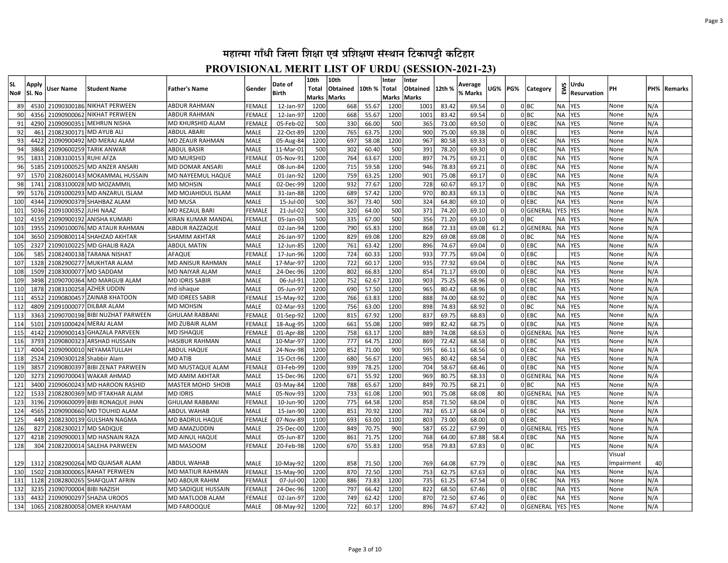| <b>SL</b>  |                 |                          |                                                         |                                             |                            | Date of                | 10th         | 10th         |                | Inter        | Inter        |                |                    |                            |     |                  |                        | Urdu              |              |            |              |
|------------|-----------------|--------------------------|---------------------------------------------------------|---------------------------------------------|----------------------------|------------------------|--------------|--------------|----------------|--------------|--------------|----------------|--------------------|----------------------------|-----|------------------|------------------------|-------------------|--------------|------------|--------------|
| No#        | Apply<br>Sl. No | Jser Name                | <b>Student Name</b>                                     | <b>Father's Name</b>                        | Gender                     | Birth                  | Total        | Obtained     | 10th %         | Total        | Obtained     | 12th %         | Average<br>% Marks | JG%                        | PG% | Category         | EWS                    | Resurvation       | PН           |            | PH%  Remarks |
|            |                 |                          |                                                         |                                             |                            |                        |              | Marks  Marks |                | Marks        | <b>Marks</b> |                |                    |                            |     |                  |                        |                   |              |            |              |
| 89         | 4530            |                          | 21090300186 NIKHAT PERWEEN                              | <b>ABDUR RAHMAN</b>                         | FEMALE                     | 12-Jan-97              | 1200         | 668          | 55.67          | 1200         | 1001         | 83.42          | 69.54              |                            |     | 0 BC             | NA                     | <b>YES</b>        | None         | N/A        |              |
| 90         | 4356            |                          | 21090900062 NIKHAT PERWEEN                              | ABDUR RAHMAN                                | FEMALE                     | 12-Jan-97              | 1200         | 668          | 55.67          | 1200         | 1001         | 83.42          | 69.54              | $\Omega$                   |     | 0 BC             | NA                     | YES               | None         | N/A        |              |
| 91         | 4290            | 21090900351              | <b>IMEHRUN NISHA</b>                                    | MD KHURSHID ALAM                            | FEMALE                     | 05-Feb-02              | 500          | 330          | 66.00          | 500          | 365          | 73.00          | 69.50              | $\Omega$                   |     | $0$ EBC          | NA                     | <b>YES</b>        | None         | N/A        |              |
| 92         | 461             | 21082300171 MD AYUB ALI  |                                                         | ABDUL ABARI                                 | MALE                       | 22-Oct-89              | 1200         | 765          | 63.75          | 1200         | 900          | 75.00          | 69.38              |                            |     | $0$ EBC          |                        | YES               | None         | N/A        |              |
| 93         | 4422            | 21090900492              | MD MERAJ ALAM!                                          | <b>MD ZEAUR RAHMAN</b>                      | <b>MALE</b>                | 05-Aug-84              | 1200         | 697          | 58.08          | 1200         | 967          | 80.58          | 69.33              | $\Omega$                   |     | 0 EBC            | <b>NA</b>              | <b>YES</b>        | None         | N/A        |              |
| 94         | 3868            |                          | 21090600259 TARIK ANWAR                                 | <b>ABDUL BASIR</b>                          | <b>MALE</b>                | 11-Mar-01              | 500          | 302          | 60.40          | 500          | 391          | 78.20          | 69.30              | $\Omega$                   |     | OLEBC            | <b>NA</b>              | <b>YES</b>        | None         | N/A        |              |
| 95         | 1833            | 21083100153 RUHI AFZA    |                                                         | <b>MD MURSHID</b>                           | <b>FEMAL</b>               | 05-Nov-91              | 1200         | 764          | 63.67          | 1200         | 897          | 74.75          | 69.21              | $\Omega$                   |     | OEBC             | <b>NA</b>              | <b>YES</b>        | None         | N/A        |              |
| 96         | 5185            |                          | 21091000525 MD ANZER ANSARI                             | MD DOMAR ANSARI                             | MALE                       | 08-Jun-84              | 1200         | 715          | 59.58          | 1200         | 946          | 78.83          | 69.21              | $\Omega$                   |     | 0 EBC            | <b>NA</b>              | <b>YES</b>        | None         | N/A        |              |
| 97         | 1570            |                          | 21082600143 MOKAMMAL HUSSAIN                            | MD NAYEEMUL HAQUE                           | <b>MALE</b>                | 01-Jan-92              | 1200         | 759          | 63.25          | 1200         | 901          | 75.08          | 69.17              | $\Omega$                   |     | 0 EBC            | <b>NA</b>              | YES               | None         | N/A        |              |
| 98         | 1741            |                          | 21083100028 MD MOZAMMIL                                 | <b>MD MOHSIN</b>                            | <b>MALE</b>                | 02-Dec-99              | 1200         | 932          | 77.67          | 1200         | 728          | 60.67          | 69.17              | $\Omega$                   |     | OLEBC            | <b>NA</b>              | <b>YES</b>        | None         | N/A        |              |
| 99         | 5176            |                          | 21091000293 MD ANZARUL ISLAM                            | MD MOJAHIDUL ISLAM                          | MALE                       | 31-Jan-88              | 1200         | 689          | 57.42          | 1200         | 970          | 80.83          | 69.13              | $\overline{0}$             |     | $0$ EBC          | <b>NA</b>              | YES               | None         | N/A        |              |
| 100        | 4344            |                          | 21090900379 SHAHBAZ ALAM                                | <b>MD MUSA</b>                              | <b>MALE</b>                | 15-Jul-00              | 500          | 367          | 73.40          | 500          | 324          | 64.80          | 69.10              | $\Omega$                   |     | $0$ EBC          | <b>NA</b>              | <b>YES</b>        | None         | N/A        |              |
| 101        | 5036            | 21091000352              | JUHI NAAZ                                               | <b>MD REZAUL BARI</b>                       | <b>FEMALE</b>              | 21-Jul-02              | 500          | 320          | 64.00          | 500          | 371          | 74.20          | 69.10              | $\Omega$                   |     | 0GENERAL         | <b>YES</b>             | <b>YES</b>        | None         | N/A        |              |
| 102        | 4159            |                          | 21090900192 ANISHA KUMARI                               | KIRAN KUMAR MANDAL                          | <b>FEMALE</b>              | 05-Jan-03              | 500          | 335          | 67.00          | 500          | 356          | 71.20          | 69.10              | $\Omega$                   |     | 0 BC             | NA                     | <b>YES</b>        | None         | N/A        |              |
| 103        | 1955            |                          | 21090100076 MD ATAUR RAHMAN                             | <b>ABDUR RAZZAQUE</b>                       | MALE                       | 02-Jan-94              | 1200         | 790          | 65.83          | 1200         | 868          | 72.33          | 69.08              | 61.2                       |     | 0GENERAL         | <b>NA</b>              | YES               | None         | N/A        |              |
| 104        | 3650            |                          | 21090800114 SHAHZAD AKHTAR                              | <b>SHAMIM AKHTAR</b>                        | <b>MALE</b>                | 26-Jan-97              | 1200         | 829          | 69.08          | 1200         | 829          | 69.08          | 69.08              | 0                          |     | 0 BC             | NA                     | <b>YES</b>        | None         | N/A        |              |
| 105        | 2327            |                          | 21090100225 MD GHALIB RAZA                              | <b>ABDUL MATIN</b>                          | <b>MALE</b>                | 12-Jun-85              | 1200         | 761          | 63.42          | 1200         | 896          | 74.67          | 69.04              | $\Omega$                   |     | OLEBC            | <b>NA</b>              | <b>YES</b>        | None         | N/A        |              |
| 106        | 585             |                          | 21082400138 TARANA NISHAT                               | AFAQUE                                      | <b>FEMALI</b>              | 17-Jun-96              | 1200         | 724          | 60.33          | 1200         | 933          | 77.75          | 69.04              | 0                          |     | $0$ EBC          |                        | YES               | None         | N/A        |              |
| 107        | 1328            |                          | 21082900277 MUKHTAR ALAM                                | MD ANISUR RAHMAN                            | <b>MALE</b>                | 17-Mar-97              | 1200         | 722          | 60.17          | 1200         | 935          | 77.92          | 69.04              | 0                          |     | OLEBC            | <b>NA</b>              | <b>IYES</b>       | None         | N/A        |              |
| 108        | 1509            | 21083000077 MD SADDAM    |                                                         | <b>MD NAIYAR ALAM</b>                       | <b>MALE</b>                | 24-Dec-96              | 1200         | 802          | 66.83          | 1200         | 854          | 71.17          | 69.00              | $\overline{0}$             |     | OLEBC            | <b>NA</b>              | <b>YES</b>        | None         | N/A        |              |
| 109        | 3498            |                          | 21090700364 MD MARGUB ALAM                              | <b>MD IDRIS SABIR</b>                       | MALE                       | 06-Jul-91              | 1200         | 752          | 62.67          | 1200         | 903          | 75.25          | 68.96              | $\Omega$                   |     | $0$ EBC          | <b>NA</b>              | <b>YES</b>        | None         | N/A        |              |
| 110        | 1878            |                          | 21083100258 AZHER UDDIN                                 | md ishaque                                  | <b>MALE</b>                | 05-Jun-97              | 1200         | 690          | 57.50          | 1200         | 965          | 80.42          | 68.96              | 0                          |     | $0$ EBC          | <b>NA</b>              | <b>YES</b>        | None         | N/A        |              |
| 111        | 4552            |                          | 21090800457 ZAINAB KHATOON                              | <b>MD IDREES SABIR</b>                      | <b>FEMALE</b>              | 15-May-92              | 1200         | 766          | 63.83          | 1200         | 888          | 74.00          | 68.92              | 0                          |     | $0$ EBC          | <b>NA</b>              | <b>YES</b>        | None         | N/A        |              |
| 112        | 4809            |                          | 21091000077 DILBAR ALAM                                 | <b>MD MOHSIN</b>                            | MALE                       | 02-Mar-93              | 1200         | 756          | 63.00          | 1200         | 898          | 74.83          | 68.92              | $\Omega$                   |     | olbc             | <b>NA</b>              | <b>YES</b>        | None         | N/A        |              |
| 113        | 3363            |                          | 21090700198 BIBI NUZHAT PARWEEN                         | <b>GHULAM RABBANI</b>                       | FEMALE                     | 01-Sep-92              | 1200         | 815          | 67.92          | 1200         | 837          | 69.75          | 68.83              | $\overline{0}$<br>$\Omega$ |     | $0$ EBC          | NA                     | <b>YES</b>        | None         | N/A        |              |
| 114        | 5101            | 21091000424 MERAJ ALAM   |                                                         | <b>MD ZUBAIR ALAM</b>                       | FEMALE                     | 18-Aug-95              | 1200         | 661          | 55.08          | 1200         | 989          | 82.42          | 68.75              |                            |     | $0$ EBC          | <b>NA</b>              | <b>YES</b>        | None         | N/A        |              |
| 115        | 4142            |                          | 21090900143 GHAZALA PARVEEN                             | <b>MD ISHAQUE</b>                           | FEMALE                     | 01-Apr-88              | 1200         | 758          | 63.17          | 1200         | 889          | 74.08          | 68.63              | $\Omega$<br>$\Omega$       |     | 0GENERAL         | <b>NA</b>              | YES               | None         | N/A        |              |
| 116        | 3793            |                          | 21090800323 ARSHAD HUSSAIN                              | HASIBUR RAHMAN                              | MALE                       | 10-Mar-97              | 1200         | 777          | 64.75          | 1200         | 869          | 72.42          | 68.58              | $\Omega$                   |     | 0 EBC            | NA                     | <b>YES</b>        | None         | N/A        |              |
| 117        | 4004            |                          | 21090900010 NEYAMATULLAH                                | <b>ABDUL HAQUE</b>                          | MALE                       | 24-Nov-98              | 1200         | 852          | 71.00          | 900          | 595          | 66.11          | 68.56              |                            |     | $0$ EBC          | NA                     | YES               | None         | N/A        |              |
| 118        | 2524            | 21090300128 Shabbir Alam |                                                         | <b>MD ATIB</b>                              | <b>MALE</b>                | 15-Oct-96              | 1200         | 680          | 56.67          | 1200         | 965          | 80.42          | 68.54              | $\Omega$<br>$\Omega$       |     | $0$ EBC          | <b>NA</b>              | YES               | None         | N/A        |              |
| 119        | 3857            |                          | 21090800397 BIBI ZENAT PARWEEN                          | <b>MD MUSTAQUE ALAM</b>                     | FEMALE                     | 03-Feb-99              | 1200         | 939          | 78.25          | 1200         | 704          | 58.67          | 68.46              | $\Omega$                   |     | OLEBC            | <b>NA</b>              | YES               | None         | N/A        |              |
| 120<br>121 | 3273<br>3400    |                          | 21090700043 WAKAR AHMAD<br>21090600243 MD HAROON RASHID | <b>MD AMIM AKHTAR</b>                       | <b>MALE</b><br><b>MALE</b> | 15-Dec-96              | 1200<br>1200 | 671<br>788   | 55.92<br>65.67 | 1200<br>1200 | 969<br>849   | 80.75<br>70.75 | 68.33<br>68.21     | $\Omega$                   |     | 0GENERAL<br>olbc | <b>NA</b><br><b>NA</b> | <b>YES</b><br>YES | None         | N/A<br>N/A |              |
| 122        | 1533            |                          | 21082800369 MD IFTAKHAR ALAM                            | <b>MASTER MOHD SHOIB</b><br><b>MD IDRIS</b> | <b>MALE</b>                | 03-May-84<br>05-Nov-93 | 1200         | 733          | 61.08          | 1200         | 901          | 75.08          | 68.08              | 80                         |     | 0GENERAL         | <b>NA</b>              | <b>YES</b>        | None         | N/A        |              |
| 123        | 3196            |                          | 21090600099 BIBI RONAQUE JHAN                           | <b>GHULAM RABBANI</b>                       | <b>FEMALI</b>              | 10-Jun-90              | 1200         | 775          | 64.58          | 1200         | 858          | 71.50          | 68.04              | $\Omega$                   |     | $0$ EBC          | NA                     | <b>YES</b>        | None<br>None | N/A        |              |
| 124        | 4565            |                          | 21090900660 MD TOUHID ALAM                              | <b>ABDUL WAHAB</b>                          | <b>MALE</b>                | 15-Jan-90              | 1200         | 851          | 70.92          | 1200         | 782          | 65.17          | 68.04              | $\Omega$                   |     | $0$ EBC          | <b>NA</b>              | <b>YES</b>        | None         | N/A        |              |
| 125        | 449             |                          | 21082300139 GULSHAN NAGMA                               | <b>MD BADRUL HAQUE</b>                      | <b>FEMALI</b>              | 07-Nov-89              | 1100         | 693          | 63.00          | 1100         | 803          | 73.00          | 68.00              | $\Omega$                   |     | 0 EBC            |                        | YES               | None         | N/A        |              |
| 126        | 827             | 21082300217 MD SADIQUE   |                                                         | <b>MD AMAZUDDIN</b>                         | <b>MALE</b>                | 25-Dec-00              | 1200         | 849          | 70.75          | 900          | 587          | 65.22          | 67.99              | nl                         |     | 0GENERAL         | <b>YES</b>             | <b>YES</b>        | None         | N/A        |              |
| 127        | 4218            |                          | 21090900013 MD HASNAIN RAZA                             | <b>MD AINUL HAQUE</b>                       | MALE                       | 05-Jun-87              | 1200         | 861          | 71.75          | 1200         | 768          | 64.00          | 67.88              | 58.4                       |     | $0$ EBC          | <b>NA</b>              | <b>YES</b>        | None         | N/A        |              |
| 128        | 304             |                          | 21082200014 SALEHA PARWEEN                              | MD MASOOM                                   | <b>FEMALI</b>              | 20-Feb-98              | 1200         | 670          | 55.83          | 1200         | 958          | 79.83          | 67.83              | $\Omega$                   |     | 0 BC             |                        | YES               | None         | N/A        |              |
|            |                 |                          |                                                         |                                             |                            |                        |              |              |                |              |              |                |                    |                            |     |                  |                        |                   | Visual       |            |              |
| 129        | 1312            |                          | 21082900264 MD QUAISAR ALAM                             | <b>ABDUL WAHAB</b>                          | <b>MALE</b>                | 10-May-92              | 1200         | 858          | 71.50          | 1200         | 769          | 64.08          | 67.79              |                            |     | 0 EBC            | NA                     | <b>YES</b>        | Impairment   | 40         |              |
| 130        | 1502            |                          | 21083000065 RAHAT PERWEEN                               | MD MATIUR RAHMAN                            | <b>FEMALE</b>              | 15-May-90              | 1200         | 870          | 72.50          | 1200         | 753          | 62.75          | 67.63              | $\Omega$                   |     | OLEBC            | <b>NA</b>              | <b>YES</b>        | None         | N/A        |              |
| 131        | 1128            |                          | 21082800265 SHAFQUAT AFRIN                              | <b>MD ABDUR RAHIM</b>                       | <b>FEMALE</b>              | 07-Jul-00              | 1200         | 886          | 73.83          | 1200         | 735          | 61.25          | 67.54              | $\overline{0}$             |     | $0$ EBC          | <b>NA</b>              | <b>YES</b>        | None         | N/A        |              |
| 132        | 3235            | 21090700004 BIBI NAZISH  |                                                         | <b>MD SADIQUE HUSSAIN</b>                   | <b>FEMALE</b>              | 24-Dec-96              | 1200         | 797          | 66.42          | 1200         | 822          | 68.50          | 67.46              | $\Omega$                   |     | OLEBC            | <b>NA</b>              | <b>YES</b>        | None         | N/A        |              |
| 133        | 4432            |                          | 21090900297 SHAZIA UROOS                                | <b>MD MATLOOB ALAM</b>                      | <b>FEMALE</b>              | 02-Jan-97              | 1200         | 749          | 62.42          | 1200         | 870          | 72.50          | 67.46              | 0                          |     | OLEBC            | <b>NA</b>              | <b>YES</b>        | None         | N/A        |              |
| 134        | 1065            |                          | 21082800058 OMER KHAIYAM                                | <b>MD FAROOQUE</b>                          | <b>MALE</b>                | 08-May-92              | 1200         | 722          | 60.17          | 1200         | 896          | 74.67          | 67.42              | 0                          |     | 0GENERAL         | YES YES                |                   | None         | N/A        |              |
|            |                 |                          |                                                         |                                             |                            |                        |              |              |                |              |              |                |                    |                            |     |                  |                        |                   |              |            |              |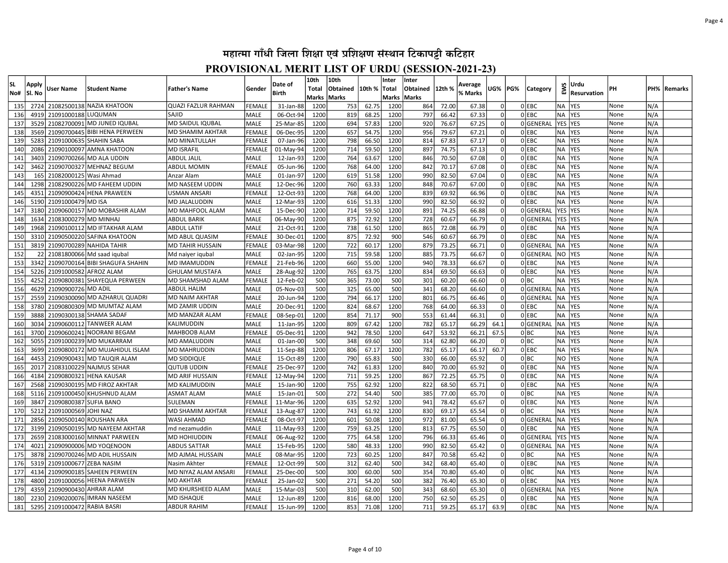| lsl.<br>No# | Apply<br> Sl. No | User Name               | <b>Student Name</b>             | Father's Name           | Gender        | Date of<br>Birth | 10th<br><b>Total</b><br>Marks Marks | 10th<br>Obtained | 10th % | Inter<br> Total<br>Marks Marks | Inter<br>Obtained 12th % |       | Average<br>% Marks | UG%      | PG% | Category  | EWS        | Urdu<br><b>Resurvation</b> | PН   | PH% | Remarks |
|-------------|------------------|-------------------------|---------------------------------|-------------------------|---------------|------------------|-------------------------------------|------------------|--------|--------------------------------|--------------------------|-------|--------------------|----------|-----|-----------|------------|----------------------------|------|-----|---------|
| 135         | 2724             |                         | 21082500138 NAZIA KHATOON       | QUAZI FAZLUR RAHMAN     | FEMALE        | 31-Jan-88        | 1200                                | 753              | 62.75  | 1200                           | 864                      | 72.00 | 67.38              |          |     | 0 EBC     | ΝA         | <b>YES</b>                 | None | N/A |         |
| 136         | 4919             | 21091000188 LUQUMAN     |                                 | SAJID                   | <b>MALE</b>   | 06-Oct-94        | 1200                                | 819              | 68.25  | 1200                           | 797                      | 66.42 | 67.33              |          |     | 0 EBC     | NA         | <b>YES</b>                 | None | N/A |         |
| 137         | 3529             |                         | 21082700091 MD JUNED IQUBAL     | MD SAIDUL IQUBAL        | <b>MALE</b>   | 25-Mar-85        | 1200                                | 694              | 57.83  | 1200                           | 920                      | 76.67 | 67.25              |          |     | 0 GENERAL | YES        | <b>YES</b>                 | None | N/A |         |
| 138         | 3569             |                         | 21090700445 BIBI HENA PERWEEN   | MD SHAMIM AKHTAR        | FEMALE        | 06-Dec-95        | 1200                                | 657              | 54.75  | 1200                           | 956                      | 79.67 | 67.21              |          |     | OLEBC     | <b>NA</b>  | YES                        | None | N/A |         |
| 139         | 5283             |                         | 21091000635 SHAHIN SABA         | <b>MD MINATULLAH</b>    | FEMALE        | 07-Jan-96        | 1200                                | 798              | 66.50  | 1200                           | 814                      | 67.83 | 67.17              |          |     | $0$ EBC   | <b>NA</b>  | <b>YES</b>                 | None | N/A |         |
| 140         | 2086             |                         | 21090100097 AMNA KHATOON        | <b>MD ISRAFIL</b>       | <b>FEMALE</b> | 01-May-94        | 1200                                | 714              | 59.50  | 1200                           | 897                      | 74.75 | 67.13              |          |     | $0$ EBC   | <b>NA</b>  | <b>YES</b>                 | None | N/A |         |
| 141         | 3403             |                         | 21090700266 MD ALA UDDIN        | <b>ABDUL JALIL</b>      | <b>MALE</b>   | 12-Jan-93        | 1200                                | 764              | 63.67  | 1200                           | 846                      | 70.50 | 67.08              | $\Omega$ |     | OLEBC     | <b>NA</b>  | <b>YES</b>                 | None | N/A |         |
| 142         | 3462             |                         | 21090700327 MEHNAZ BEGUM        | ABDUL MOMIN             | FEMALE        | 05-Jun-96        | 1200                                | 768              | 64.00  | 1200                           | 842                      | 70.17 | 67.08              | $\Omega$ |     | $0$ EBC   | <b>NA</b>  | <b>YES</b>                 | None | N/A |         |
| 143         | 165              | 21082000125 Wasi Ahmad  |                                 | Anzar Alam              | <b>MALE</b>   | 01-Jan-97        | 1200                                | 619              | 51.58  | 1200                           | 990                      | 82.50 | 67.04              | $\Omega$ |     | OLEBC     | <b>NA</b>  | <b>YES</b>                 | None | N/A |         |
| 144         | 1298             |                         | 21082900226 MD FAHEEM UDDIN     | MD NASEEM UDDIN         | MALE          | 12-Dec-96        | 1200                                | 760              | 63.33  | 1200                           | 848                      | 70.67 | 67.00              | $\Omega$ |     | $0$ EBC   | <b>NA</b>  | YES                        | None | N/A |         |
| 145         | 4351             |                         | 21090900424 HENA PRAWEEN        | USMAN ANSARI            | <b>FEMALE</b> | 12-Oct-93        | 1200                                | 768              | 64.00  | 1200                           | 839                      | 69.92 | 66.96              | $\Omega$ |     | OIEBC     | <b>NA</b>  | <b>YES</b>                 | None | N/A |         |
| 146         | 5190             | 21091000479 MD ISA      |                                 | <b>MD JALALUDDIN</b>    | <b>MALE</b>   | 12-Mar-93        | 1200                                | 616              | 51.33  | 1200                           | 990                      | 82.50 | 66.92              | $\Omega$ |     | 0 EBC     | <b>NA</b>  | YES                        | None | N/A |         |
| 147         | 3180             |                         | 21090600157 MD MOBASHIR ALAM    | MD MAHFOOL ALAM         | MALE          | 15-Dec-90        | 1200                                | 714              | 59.50  | 1200                           | 891                      | 74.25 | 66.88              | 0        |     | 0GENERAL  | <b>YES</b> | <b>YES</b>                 | None | N/A |         |
| 148         | 1634             | 21083000279 MD MINHAJ   |                                 | <b>ABDUL BARIK</b>      | MALE          | 06-May-90        | 1200                                | 875              | 72.92  | 1200                           | 728                      | 60.67 | 66.79              | $\Omega$ |     | 0GENERAL  | <b>YES</b> | <b>YES</b>                 | None | N/A |         |
| 149         | 1968             |                         | 21090100112 MD IFTAKHAR ALAM    | ABDUL LATIF             | MALE          | 21-Oct-91        | 1200                                | 738              | 61.50  | 1200                           | 865                      | 72.08 | 66.79              | $\Omega$ |     | 0 EBC     | NA         | <b>YES</b>                 | None | N/A |         |
| 150         | 3310             |                         | 21090500220 SAFINA KHATOON      | MD ABUL QUASIM          | <b>FEMALE</b> | 30-Dec-01        | 1200                                | 875              | 72.92  | 900                            | 546                      | 60.67 | 66.79              | $\Omega$ |     | OLEBC     | <b>NA</b>  | <b>YES</b>                 | None | N/A |         |
| 151         | 3819             |                         | 21090700289 NAHIDA TAHIR        | MD TAHIR HUSSAIN        | <b>FEMALE</b> | 03-Mar-98        | 1200                                | 722              | 60.17  | 1200                           | 879                      | 73.25 | 66.71              | $\Omega$ |     | 0GENERAL  | <b>NA</b>  | <b>YES</b>                 | None | N/A |         |
| 152         | 22               |                         | 21081800066 Md saad igubal      | Md naiyer iqubal        | <b>MALE</b>   | 02-Jan-95        | 1200                                | 715              | 59.58  | 1200                           | 885                      | 73.75 | 66.67              | $\Omega$ |     | OGENERAL  | NO.        | <b>YES</b>                 | None | N/A |         |
| 153         | 3342             |                         | 21090700164 BIBI SHAGUFA SHAHIN | <b>MD IMAMUDDIN</b>     | FEMALE        | 21-Feb-96        | 1200                                | 660              | 55.00  | 1200                           | 940                      | 78.33 | 66.67              | $\Omega$ |     | 0 EBC     | <b>NA</b>  | <b>YES</b>                 | None | N/A |         |
| 154         | 5226             | 21091000582 AFROZ ALAM  |                                 | GHULAM MUSTAFA          | MALE          | 28-Aug-92        | 1200                                | 765              | 63.75  | 1200                           | 834                      | 69.50 | 66.63              | $\Omega$ |     | 0 EBC     | <b>NA</b>  | YES                        | None | N/A |         |
| 155         | 4252             |                         | 21090800381 SHAYEQUA PERWEEN    | MD SHAMSHAD ALAM        | <b>FEMALI</b> | 12-Feb-02        | 500                                 | 365              | 73.00  | 500                            | 301                      | 60.20 | 66.60              | 0l       |     | 0 BC      | <b>NA</b>  | <b>YES</b>                 | None | N/A |         |
| 156         | 4629             | 21090900726 MD ADIL     |                                 | ABDUL HALIM             | MALE          | 05-Nov-03        | 500                                 | 325              | 65.00  | 500                            | 341                      | 68.20 | 66.60              | 0        |     | 0GENERAL  | <b>NA</b>  | <b>YES</b>                 | None | N/A |         |
| 157         | 2559             |                         | 21090300090 MD AZHARUL QUADRI   | <b>MD NAIM AKHTAR</b>   | MALE          | 20-Jun-94        | 1200                                | 794              | 66.17  | 1200                           | 801                      | 66.75 | 66.46              | 0l       |     | 0GENERAL  | NA.        | <b>YES</b>                 | None | N/A |         |
| 158         | 3780             |                         | 21090800309 MD MUMTAZ ALAM      | <b>MD ZAMIR UDDIN</b>   | MALE          | 20-Dec-91        | 1200                                | 824              | 68.67  | 1200                           | 768                      | 64.00 | 66.33              | 0        |     | $0$ EBC   | <b>NA</b>  | <b>YES</b>                 | None | N/A |         |
| 159         | 3888             |                         | 21090300138 SHAMA SADAF         | MD MANZAR ALAM          | <b>FEMALE</b> | 08-Sep-01        | 1200                                | 854              | 71.17  | 900                            | 553                      | 61.44 | 66.31              | $\Omega$ |     | OLEBC     | <b>NA</b>  | <b>IYES</b>                | None | N/A |         |
| 160         | 3034             |                         | 21090600112 TANWEER ALAM        | KALIMUDDIN              | MALE          | 11-Jan-95        | 1200                                | 809              | 67.42  | 1200                           | 782                      | 65.17 | 66.29              | 64.1     |     | 0GENERAL  | <b>NA</b>  | <b>YES</b>                 | None | N/A |         |
| 161         | 3700             |                         | 21090600241 NOORANI BEGAM       | MAHBOOB ALAM            | <b>FEMALE</b> | 05-Dec-91        | 1200                                | 942              | 78.50  | 1200                           | 647                      | 53.92 | 66.21              | 67.5     |     | olbc      | <b>NA</b>  | <b>YES</b>                 | None | N/A |         |
| 162         | 5055             |                         | 21091000239 MD MUKARRAM         | <b>MD AMALUDDIN</b>     | MALE          | 01-Jan-00        | 500                                 | 348              | 69.60  | 500                            | 314                      | 62.80 | 66.20              |          |     | 0 BC      | <b>NA</b>  | <b>YES</b>                 | None | N/A |         |
| 163         | 3699             |                         | 21090800172 MD MUJAHIDUL ISLAM  | MD MAHRUDDIN            | MALE          | 11-Sep-88        | 1200                                | 806              | 67.17  | 1200                           | 782                      | 65.17 | 66.17              | 60.7     |     | 0 EBC     | NA         | <b>YES</b>                 | None | N/A |         |
| 164         | 4453             |                         | 21090900431 MD TAUQIR ALAM      | <b>MD SIDDIQUE</b>      | <b>MALE</b>   | 15-Oct-89        | 1200                                | 790              | 65.83  | 500                            | 330                      | 66.00 | 65.92              |          |     | 0 BC      | NO.        | <b>YES</b>                 | None | N/A |         |
| 165         | 2017             |                         | 21083100229 NAJMUS SEHAR        | QUTUB UDDIN             | FEMALE        | 25-Dec-97        | 1200                                | 742              | 61.83  | 1200                           | 840                      | 70.00 | 65.92              |          |     | 0 EBC     | <b>NA</b>  | YES                        | None | N/A |         |
| 166         | 4184             |                         | 21090800321 HENA KAUSAR         | <b>MD ARIF HUSSAIN</b>  | FEMALE        | 12-May-94        | 1200                                | 711              | 59.25  | 1200                           | 867                      | 72.25 | 65.75              |          |     | $0$ EBC   | <b>NA</b>  | <b>YES</b>                 | None | N/A |         |
| 167         | 2568             |                         | 21090300195 MD FIROZ AKHTAR     | <b>MD KALIMUDDIN</b>    | <b>MALE</b>   | 15-Jan-90        | 1200                                | 755              | 62.92  | 1200                           | 822                      | 68.50 | 65.71              |          |     | $0$ EBC   | <b>NA</b>  | <b>YES</b>                 | None | N/A |         |
| 168         | 5116             |                         | 21091000450 KHUSHNUD ALAM       | <b>ASMAT ALAM</b>       | <b>MALE</b>   | 15-Jan-01        | 500                                 | 272              | 54.40  | 500                            | 385                      | 77.00 | 65.70              |          |     | olbc      | <b>NA</b>  | <b>YES</b>                 | None | N/A |         |
| 169         | 3847             | 21090800387 SUFIA BANO  |                                 | SULEMAN                 | FEMALE        | 11-Mar-96        | 1200                                | 635              | 52.92  | 1200                           | 941                      | 78.42 | 65.67              |          |     | OLEBC     | <b>NA</b>  | <b>YES</b>                 | None | N/A |         |
| 170         | 5212             | 21091000569 JOHI NAZ    |                                 | <b>MD SHAMIM AKHTAR</b> | FEMALE        | 13-Aug-87        | 1200                                | 743              | 61.92  | 1200                           | 830                      | 69.17 | 65.54              | $\Omega$ |     | olbc      | <b>NA</b>  | <b>YES</b>                 | None | N/A |         |
| 171         | 2856             |                         | 21090500140 ROUSHAN ARA         | WASI AHMAD              | FEMALE        | 08-Oct-97        | 1200                                | 601              | 50.08  | 1200                           | 972                      | 81.00 | 65.54              | $\Omega$ |     | 0GENERAL  | NA)        | <b>YES</b>                 | None | N/A |         |
| 172         | 3199             |                         | 21090500195 MD NAYEEM AKHTAR    | md nezamuddin           | MALE          | 11-May-93        | 1200                                | 759              | 63.25  | 1200                           | 813                      | 67.75 | 65.50              | $\Omega$ |     | 0 EBC     | <b>NA</b>  | <b>YES</b>                 | None | N/A |         |
| 173         | 2659             |                         | 21083000160 MINNAT PARWEEN      | MD HOHIUDDIN            | FEMALE        | 06-Aug-92        | 1200                                | 775              | 64.58  | 1200                           | 796                      | 66.33 | 65.46              | $\Omega$ |     | 0GENERAI  | <b>YES</b> | <b>YES</b>                 | None | N/A |         |
| 174         | 4021             |                         | 21090900006 MD YOQENOON         | <b>ABDUS SATTAR</b>     | MALE          | 15-Feb-95        | 1200                                | 580              | 48.33  | 1200                           | 990                      | 82.50 | 65.42              | 0        |     | 0GENERAI  | <b>NA</b>  | <b>YES</b>                 | None | N/A |         |
| 175         | 3878             |                         | 21090700246 MD ADIL HUSSAIN     | MD AJMAL HUSSAIN        | <b>MALE</b>   | 08-Mar-95        | 1200                                | 723              | 60.25  | 1200                           | 847                      | 70.58 | 65.42              | $\Omega$ |     | olbc      | <b>NA</b>  | YES                        | None | N/A |         |
| 176         | 5319             | 21091000677 ZEBA NASIM  |                                 | Nasim Akhter            | <b>FEMALE</b> | 12-Oct-99        | 500                                 | 312              | 62.40  | 500                            | 342                      | 68.40 | 65.40              | $\Omega$ |     | 0 EBC     | <b>NA</b>  | <b>YES</b>                 | None | N/A |         |
| 177         | 4134             |                         | 21090900185 SAHEEN PERWEEN      | MD NIYAZ ALAM ANSARI    | <b>FEMALE</b> | 25-Dec-00        | 500                                 | 300              | 60.00  | 500                            | 354                      | 70.80 | 65.40              | $\Omega$ |     | olbc      | <b>NA</b>  | YES                        | None | N/A |         |
| 178         | 4800             |                         | 21091000056 HEENA PARWEEN       | <b>MD AKHTAR</b>        | <b>FEMALE</b> | 25-Jan-02        | 500                                 | 271              | 54.20  | 500                            | 382                      | 76.40 | 65.30              | $\Omega$ |     | $0$ EBC   | <b>NA</b>  | <b>YES</b>                 | None | N/A |         |
| 179         | 4359             |                         | 21090900430 AHRAR ALAM          | MD KHURSHEED ALAM       | MALE          | 15-Mar-03        | 500                                 | 310              | 62.00  | 500                            | 343                      | 68.60 | 65.30              | $\Omega$ |     | 0 GENERAL | <b>NA</b>  | <b>YES</b>                 | None | N/A |         |
| 180         | 2230             |                         | 21090200076 IMRAN NASEEM        | <b>MD ISHAQUE</b>       | <b>MALE</b>   | 12-Jun-89        | 1200                                | 816              | 68.00  | 1200                           | 750                      | 62.50 | 65.25              | $\Omega$ |     | OLEBC     | <b>NA</b>  | <b>YES</b>                 | None | N/A |         |
| 181         | 5295             | 21091000472 RABIA BASRI |                                 | ABDUR RAHIM             | <b>FEMALE</b> | 15-Jun-99        | 1200                                | 853              | 71.08  | 1200                           | 711                      | 59.25 | 65.17              | 63.9     |     | OLEBC     | <b>NA</b>  | <b>YES</b>                 | None | N/A |         |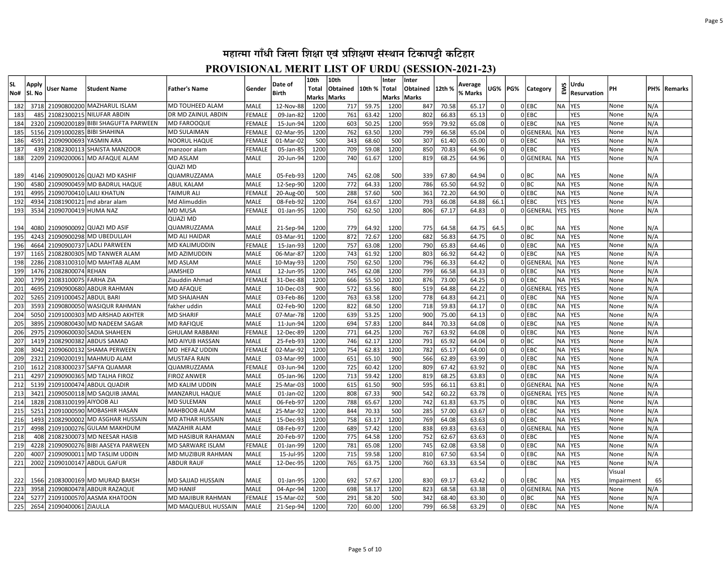| Apply<br>No#<br>lSI. No<br>3718<br>182<br>183<br>485<br>2320<br>184<br>185<br>5156 | <b>User Name</b><br>21090900693 YASMIN ARA | <b>Student Name</b><br>21090800200 MAZHARUL ISLAM<br>21082300215 NILUFAR ABDIN<br>21090200189 BIBI SHAGUFTA PARWEEN | <b>Father's Name</b><br><b>MD TOUHEED ALAM</b><br><b>DR MD ZAINUL ABDIN</b> | l Gender<br>MALE | <b>Birth</b>           | <b>Total</b><br>Marks | Obtained     | 10th %         | Total               | Obtained   | 12th %         | % Marks        | UG%                  | PG% | <b>Category</b>     | EWS                     | <b>Resurvation</b>       | PН           |            | PH%   Remarks |
|------------------------------------------------------------------------------------|--------------------------------------------|---------------------------------------------------------------------------------------------------------------------|-----------------------------------------------------------------------------|------------------|------------------------|-----------------------|--------------|----------------|---------------------|------------|----------------|----------------|----------------------|-----|---------------------|-------------------------|--------------------------|--------------|------------|---------------|
|                                                                                    |                                            |                                                                                                                     |                                                                             |                  |                        |                       |              |                |                     |            |                |                |                      |     |                     |                         |                          |              |            |               |
|                                                                                    |                                            |                                                                                                                     |                                                                             |                  | 12-Nov-88              | 1200                  | Marks<br>717 | 59.75          | Marks Marks<br>1200 | 847        | 70.58          | 65.17          |                      |     | OLEBC               | <b>NA</b>               | <b>YES</b>               | None         | N/A        |               |
|                                                                                    |                                            |                                                                                                                     |                                                                             | <b>FEMALE</b>    | 09-Jan-82              | 1200                  | 761          | 63.42          | 1200                | 802        | 66.83          | 65.13          |                      |     | OLEBC               |                         | <b>YES</b>               | None         | N/A        |               |
|                                                                                    |                                            |                                                                                                                     | <b>MD FAROOQUE</b>                                                          | <b>FEMALE</b>    | 15-Jun-94              | 1200                  | 603          | 50.25          | 1200                | 959        | 79.92          | 65.08          |                      |     | $0$ EBC             | <b>NA</b>               | <b>YES</b>               | None         | N/A        |               |
|                                                                                    |                                            | 21091000285 BIBI SHAHINA                                                                                            | <b>MD SULAIMAN</b>                                                          | FEMALE           | 02-Mar-95              | 1200                  | 762          | 63.50          | 1200                | 799        | 66.58          | 65.04          | $\Omega$             |     | OGENERAL            | <b>NA</b>               | <b>YES</b>               | None         | N/A        |               |
| 186<br>4591                                                                        |                                            |                                                                                                                     | <b>NOORUL HAQUE</b>                                                         | <b>FEMALE</b>    | 01-Mar-02              | 500                   | 343          | 68.60          | 500                 | 307        | 61.40          | 65.00          | $\Omega$             |     | OLEBC               | <b>NA</b>               | <b>YES</b>               | None         | N/A        |               |
| 187<br>439                                                                         |                                            | 21082300113 SHAISTA MANZOOR                                                                                         | manzoor alam                                                                | FEMALE           | 05-Jan-85              | 1200                  | 709          | 59.08          | 1200                | 850        | 70.83          | 64.96          | $\Omega$             |     | 0 EBC               |                         | <b>YES</b>               | None         | N/A        |               |
| 188<br>2209                                                                        | 21090200061                                | <b>MD AFAQUE ALAM</b>                                                                                               | <b>MD ASLAM</b>                                                             | MALE             | 20-Jun-94              | 1200                  | 740          | 61.67          | 1200                | 819        | 68.25          | 64.96          | $\Omega$             |     | 0GENERAL            | NA.                     | <b>YES</b>               | None         | N/A        |               |
|                                                                                    |                                            |                                                                                                                     | <b>QUAZI MD</b>                                                             |                  |                        |                       |              |                |                     |            |                |                |                      |     |                     |                         |                          |              |            |               |
| 189<br>4146                                                                        |                                            | 21090900126 QUAZI MD KASHIF                                                                                         | QUAMRUZZAMA                                                                 | <b>MALE</b>      | 05-Feb-93              | 1200                  | 745          | 62.08          | 500                 | 339        | 67.80          | 64.94          |                      |     | 0 BC                | <b>NA</b>               | <b>YES</b>               | None         | N/A        |               |
| 190<br>4580                                                                        |                                            | 21090900459 MD BADRUL HAQUE                                                                                         | <b>ABUL KALAM</b>                                                           | <b>MALE</b>      | 12-Sep-90              | 1200                  | 772          | 64.33          | 1200                | 786        | 65.50          | 64.92          | $\Omega$             |     | 0 BC                | <b>NA</b>               | <b>YES</b>               | None         | N/A        |               |
| 191<br>4995                                                                        |                                            | 21090700410 LAILI KHATUN                                                                                            | <b>TAIMUR ALI</b>                                                           | <b>FEMALE</b>    | 20-Aug-00              | 500                   | 288          | 57.60          | 500                 | 361        | 72.20          | 64.90          | $\Omega$             |     | 0 EBC               | <b>NA</b>               | <b>YES</b>               | None         | N/A        |               |
| 192<br>4934                                                                        |                                            | 21081900121 md abrar alam                                                                                           | Md Alimuddin                                                                | <b>MALE</b>      | 08-Feb-92              | 1200                  | 764          | 63.67          | 1200                | 793        | 66.08          | 64.88          | 66.1                 |     | 0 EBC               | YES                     | YES                      | None         | N/A        |               |
| 193                                                                                | 3534 21090700419 HUMA NAZ                  |                                                                                                                     | <b>MD MUSA</b>                                                              | <b>FEMALE</b>    | 01-Jan-95              | 1200                  | 750          | 62.50          | 1200                | 806        | 67.17          | 64.83          | $\Omega$             |     | OGENERAL            | YES YES                 |                          | None         | N/A        |               |
|                                                                                    |                                            |                                                                                                                     | <b>QUAZI MD</b>                                                             |                  |                        |                       |              |                |                     |            |                |                |                      |     |                     |                         |                          |              |            |               |
| 194<br>4080                                                                        |                                            | 21090900092 QUAZI MD ASIF                                                                                           | QUAMRUZZAMA                                                                 | <b>MALE</b>      | 21-Sep-94              | 1200                  | 779          | 64.92          | 1200                | 775        | 64.58          | 64.75          | 64.5                 |     | 0 BC                | NA                      | <b>YES</b>               | None         | N/A        |               |
| 195<br>4243                                                                        |                                            | 21090900298 MD UBEDULLAH                                                                                            | MD ALI HAIDAR                                                               | MALE             | 03-Mar-91              | 1200                  | 872          | 72.67          | 1200                | 682        | 56.83          | 64.75          | $\Omega$             |     | olbc                | <b>NA</b>               | YES                      | None         | N/A        |               |
| 196<br>4664                                                                        |                                            | 21090900737 LADLI PARWEEN                                                                                           | <b>MD KALIMUDDIN</b>                                                        | FEMALE           | 15-Jan-93              | 1200                  | 757          | 63.08          | 1200                | 790        | 65.83          | 64.46          | 0                    |     | $0$ EBC             | <b>NA</b>               | <b>YES</b>               | None         | N/A        |               |
| 197<br>1165                                                                        |                                            | 21082800305 MD TANWER ALAM                                                                                          | MD AZIMUDDIN                                                                | MALE             | 06-Mar-87              | 1200                  | 743          | 61.92          | 1200                | 803        | 66.92          | 64.42          | $\Omega$             |     | $0$ EBC             | <b>NA</b>               | <b>YES</b>               | None         | N/A        |               |
| 2286<br>198                                                                        |                                            | 21083100310 MD MAHTAB ALAM                                                                                          | <b>MD ASLAM</b>                                                             | <b>MALE</b>      | 10-May-93              | 1200                  | 750          | 62.50          | 1200                | 796        | 66.33          | 64.42          | $\Omega$             |     | 0GENERAL            | NA.                     | <b>YES</b>               | None         | N/A        |               |
| 199<br>1476                                                                        | 21082800074 REHAN                          |                                                                                                                     | <b>JAMSHED</b>                                                              | MALE             | 12-Jun-95              | 1200                  | 745          | 62.08          | 1200                | 799        | 66.58          | 64.33          | 0                    |     | OLEBC               | <b>NA</b>               | <b>IYES</b>              | None         | N/A        |               |
| 200                                                                                | 1799 21083100075 FARHA ZIA                 |                                                                                                                     | Ziauddin Ahmad                                                              | FEMALE           | 31-Dec-88              | 1200                  | 666          | 55.50          | 1200                | 876        | 73.00          | 64.25          | $\Omega$             |     | $0$ EBC             | <b>NA</b>               | <b>YES</b>               | None         | N/A        |               |
| 201<br>4695                                                                        |                                            | 21090900680 ABDUR RAHMAN                                                                                            | <b>MD AFAQUE</b>                                                            | <b>MALE</b>      | 10-Dec-03              | 900                   | 572          | 63.56          | 800                 | 519        | 64.88          | 64.22          |                      |     | 0GENERAL            | YES                     | <b>YES</b>               | None         | N/A        |               |
| 202<br>5265                                                                        | 21091000452                                | <b>ABDUL BARI</b>                                                                                                   | <b>MD SHAJAHAN</b>                                                          | <b>MALE</b>      | 03-Feb-86              | 1200                  | 763          | 63.58          | 1200                | 778        | 64.83          | 64.21          |                      |     | $0$ EBC             | <b>NA</b>               | <b>YES</b>               | None         | N/A        |               |
| 203<br>3593                                                                        | 21090800050                                | <b>WASIQUR RAHMAN</b>                                                                                               | fakher uddin                                                                | <b>MALE</b>      | 02-Feb-90              | 1200                  | 822          | 68.50          | 1200                | 718        | 59.83          | 64.17          |                      |     | 0 EBC               | NA                      | <b>YES</b>               | None         | N/A        |               |
| 204<br>5050                                                                        |                                            | 21091000303 MD ARSHAD AKHTER                                                                                        | <b>MD SHARIF</b>                                                            | MALE             | 07-Mar-78              | 1200                  | 639          | 53.25          | 1200                | 900        | 75.00          | 64.13          |                      |     | $0$ EBC             | <b>NA</b>               | <b>YES</b>               | None         | N/A        |               |
| 205<br>3895                                                                        | 21090800430                                | MD NADEEM SAGAR                                                                                                     | <b>MD RAFIQUE</b>                                                           | <b>MALE</b>      | 11-Jun-94              | 1200                  | 694          | 57.83          | 1200                | 844        | 70.33          | 64.08          |                      |     | $0$ EBC             | <b>NA</b>               | <b>YES</b>               | None         | N/A        |               |
| 206<br>2975                                                                        | 21090600030                                | <b>SADIA SHAHEEN</b>                                                                                                | <b>GHULAM RABBANI</b>                                                       | FEMALE           | 12-Dec-89              | 1200                  | 771          | 64.25          | 1200                | 767        | 63.92          | 64.08          |                      |     | OLEBC               | <b>NA</b>               | <b>YES</b>               | None         | N/A        |               |
| 207<br>1419                                                                        | 21082900382                                | <b>ABDUS SAMAD</b>                                                                                                  | <b>MD AIYUB HASSAN</b>                                                      | MALE             | 25-Feb-93              | 1200                  | 746          | 62.17          | 1200                | 791        | 65.92          | 64.04          |                      |     | olbc                | <b>NA</b>               | <b>YES</b>               | None         | N/A        |               |
| 208<br>3042                                                                        | 21090600132                                | lSHAMA PERWEEN                                                                                                      | MD HEFAZ UDDIN                                                              | FEMALE           | 02-Mar-92              | 1200                  | 754          | 62.83          | 1200                | 782        | 65.17          | 64.00          | $\Omega$             |     | OLEBC               | <b>NA</b>               | <b>YES</b>               | None         | N/A        |               |
| 209<br>2321                                                                        | 21090200191                                | <b>MAHMUD ALAM</b>                                                                                                  | <b>MUSTAFA RAIN</b>                                                         | MALE             | 03-Mar-99              | 1000                  | 651          | 65.10          | 900                 | 566        | 62.89          | 63.99          | $\Omega$<br>$\Omega$ |     | $0$ EBC             | <b>NA</b>               | <b>YES</b>               | None         | N/A        |               |
| 210<br>1612                                                                        |                                            | 21083000237 SAFYA QUAMAR                                                                                            | QUAMRUZZAMA                                                                 | FEMALE           | 03-Jun-94              | 1200                  | 725<br>713   | 60.42          | 1200                | 809        | 67.42          | 63.92          | $\Omega$             |     | $0$ EBC             | <b>NA</b>               | <b>YES</b>               | None         | N/A        |               |
| 211<br>4297<br>5139                                                                |                                            | 21090900365 MD TALHA FIROZ                                                                                          | <b>FIROZ ANWER</b><br><b>MD KALIM UDDIN</b>                                 | MALE             | 05-Jan-96              | 1200                  |              | 59.42          | 1200                | 819        | 68.25          | 63.83          |                      |     | $0$ EBC<br>0GENERAI | <b>NA</b>               | <b>YES</b><br><b>YES</b> | None         | N/A        |               |
| 212<br>213<br>3421                                                                 |                                            | 21091000474 ABDUL QUADIR<br>21090500118 MD SAQUIB JAMAL                                                             | <b>MANZARUL HAQUE</b>                                                       | MALE<br>MALE     | 25-Mar-03<br>01-Jan-02 | 1000<br>1200          | 615<br>808   | 61.50<br>67.33 | 900<br>900          | 595<br>542 | 66.11<br>60.22 | 63.81<br>63.78 | $\Omega$<br>$\Omega$ |     | 0GENERAL            | <b>NA</b><br><b>YES</b> | <b>YES</b>               | None<br>None | N/A<br>N/A |               |
| 1828<br>214                                                                        | 21083100199 AIYOOB ALI                     |                                                                                                                     | <b>MD SULEMAN</b>                                                           | MALE             | 06-Feb-97              | 1200                  | 788          | 65.67          | 1200                | 742        | 61.83          | 63.75          | $\Omega$             |     | $0$ EBC             | <b>NA</b>               | <b>YES</b>               | None         | N/A        |               |
| 215<br>5251                                                                        |                                            | 21091000590 MOBASHIR HASAN                                                                                          | <b>MAHBOOB ALAM</b>                                                         | MALE             | 25-Mar-92              | 1200                  | 844          | 70.33          | 500                 | 285        | 57.00          | 63.67          | $\Omega$             |     | $0$ EBC             | <b>NA</b>               | <b>YES</b>               | None         | N/A        |               |
| 1493<br>216                                                                        |                                            | 21082900002 MD ASGHAR HUSSAIN                                                                                       | <b>MD ATHAR HUSSAIN</b>                                                     | MALE             | 15-Dec-93              | 1200                  | 758          | 63.17          | 1200                | 769        | 64.08          | 63.63          | $\Omega$             |     | $0$ EBC             | <b>NA</b>               | <b>YES</b>               | None         | N/A        |               |
| 217<br>4998                                                                        |                                            | 21091000276 GULAM MAKHDUM                                                                                           | İMAZAHIR ALAM                                                               | MALE             | 08-Feb-97              | 1200                  | 689          | 57.42          | 1200                | 838        | 69.83          | 63.63          | $\Omega$             |     | 0 GENERAL           | <b>NA</b>               | <b>YES</b>               | None         | N/A        |               |
| 218<br>408                                                                         |                                            | 21082300073 MD NEESAR HASIB                                                                                         | MD HASIBUR RAHAMAN                                                          | <b>MALE</b>      | 20-Feb-97              | 1200                  | 775          | 64.58          | 1200                | 752        | 62.67          | 63.63          | $\Omega$             |     | OLEBC               |                         | <b>YES</b>               | None         | N/A        |               |
| 219<br>4228                                                                        |                                            | 21090900276 BIBI AASEYA PARWEEN                                                                                     | <b>MD SARWARE ISLAM</b>                                                     | FEMALE           | 01-Jan-99              | 1200                  | 781          | 65.08          | 1200                | 745        | 62.08          | 63.58          | $\Omega$             |     | $0$ EBC             | <b>NA</b>               | <b>YES</b>               | None         | N/A        |               |
| 220<br>4007                                                                        |                                            | 21090900011 MD TASLIM UDDIN                                                                                         | MD MUZIBUR RAHMAN                                                           | MALE             | 15-Jul-95              | 1200                  | 715          | 59.58          | 1200                | 810        | 67.50          | 63.54          | $\Omega$             |     | OLEBC               | <b>NA</b>               | <b>YES</b>               | None         | N/A        |               |
| 221<br>2002                                                                        |                                            | 21090100147 ABDUL GAFUR                                                                                             | <b>ABDUR RAUF</b>                                                           | MALE             | 12-Dec-95              | 1200                  | 765          | 63.75          | 1200                | 760        | 63.33          | 63.54          | 0l                   |     | OLEBC               | <b>NA</b>               | YES                      | None         | N/A        |               |
|                                                                                    |                                            |                                                                                                                     |                                                                             |                  |                        |                       |              |                |                     |            |                |                |                      |     |                     |                         |                          | Visual       |            |               |
| 222                                                                                |                                            | 1566 21083000169 MD MURAD BAKSH                                                                                     | <b>MD SAJJAD HUSSAIN</b>                                                    | <b>MALE</b>      | 01-Jan-95              | 1200                  | 692          | 57.67          | 1200                | 830        | 69.17          | 63.42          | n                    |     | $0$ EBC             | NA YES                  |                          | Impairment   | 65         |               |
| 3958<br>223                                                                        |                                            | 21090800478 ABDUR RAZAQUE                                                                                           | MD HANIF                                                                    | MALE             | 04-Apr-94              | 1200                  | 698          | 58.17          | 1200                | 823        | 68.58          | 63.38          | $\Omega$             |     | OGENERAL            | <b>NA</b>               | <b>IYES</b>              | None         | N/A        |               |
| 224<br>5277                                                                        |                                            | 21091000570 AASMA KHATOON                                                                                           | <b>MD MAJIBUR RAHMAN</b>                                                    | FEMALE           | 15-Mar-02              | 500                   | 291          | 58.20          | 500                 | 342        | 68.40          | 63.30          | $\Omega$             |     | 0 BC                | <b>NA</b>               | <b>YES</b>               | None         | N/A        |               |
| 225                                                                                | 2654 21090400061 ZIAULLA                   |                                                                                                                     | MD MAQUEBUL HUSSAIN                                                         | <b>MALE</b>      | 21-Sep-94              | 1200                  | 720          | 60.00          | 1200                | 799        | 66.58          | 63.29          | $\Omega$             |     | $0$ EBC             | NA YES                  |                          | None         | N/A        |               |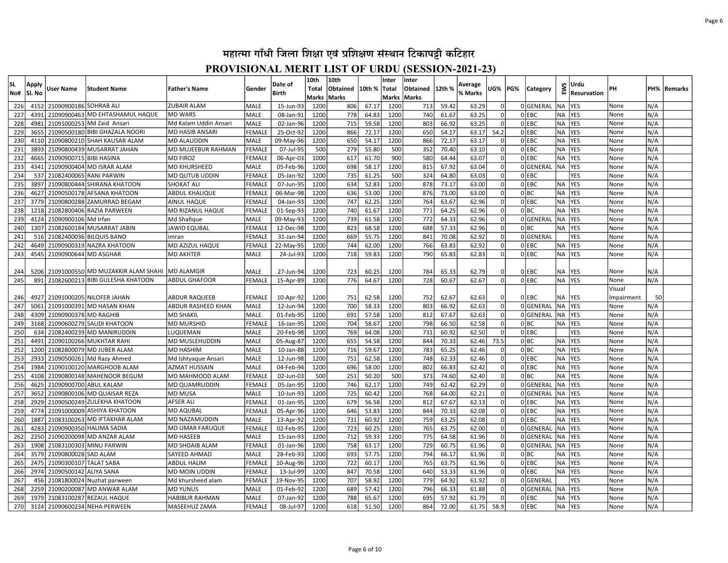| Marks Marks<br>Marks Marks<br>67.17<br>21090900186 SOHRAB ALI<br>MALE<br>1200<br>59.42<br>63.29<br>0GENERAL<br><b>YES</b><br>226<br>4152<br>ZUBAIR ALAM<br>15-Jun-93<br>1200<br>806<br>713<br><b>NA</b>                                                                                                                                  | N/A<br>None                |
|------------------------------------------------------------------------------------------------------------------------------------------------------------------------------------------------------------------------------------------------------------------------------------------------------------------------------------------|----------------------------|
|                                                                                                                                                                                                                                                                                                                                          |                            |
| 227<br>21090900463 MD EHTASHAMUL HAQUE<br><b>MD WARS</b><br>MALE<br>1200<br>778<br>64.83<br>1200<br>740<br>61.67<br>63.25<br>$0$ EBC<br><b>NA</b><br><b>YES</b><br>4391<br>08-Jan-91                                                                                                                                                     | None<br>N/A                |
| 1200<br>$0$ EBC<br><b>NA</b><br><b>YES</b><br>228<br>4981<br>21091000253 Md Zaid Ansari<br>Md Kalam Uddin Ansari<br>MALE<br>02-Jan-96<br>1200<br>715<br>59.58<br>803<br>66.92<br>63.25                                                                                                                                                   | N/A<br>None                |
| OLEBC<br>229<br>3655<br>FEMALE<br>25-Oct-92<br>1200<br>866<br>72.17<br>1200<br>650<br>54.17<br>63.17<br>54.2<br><b>NA</b><br><b>YES</b><br>21090500180 BIBI GHAZALA NOORI<br><b>MD HASIB ANSARI</b>                                                                                                                                      | N/A<br>None                |
| 230<br>650<br>1200<br>$0$ EBC<br><b>NA</b><br><b>YES</b><br>4110<br>21090800210 SHAH KAUSAR ALAM<br>MALE<br>09-May-96<br>1200<br>54.17<br>866<br>72.17<br>63.17<br><b>MD ALAUDDIN</b>                                                                                                                                                    | N/A<br>None                |
| 231<br>279<br>OLEBC<br>3893<br>21090800439 MUSARRAT JAHAN<br>MD MUJEEBUR RAHMAN<br>500<br>55.80<br>500<br>352<br>70.40<br>63.10<br><b>NA</b><br><b>YES</b><br><b>FEMALE</b><br>07-Jul-95<br>$\Omega$                                                                                                                                     | N/A<br>None                |
| 232<br>900<br>580<br>$0$ EBC<br><b>NA</b><br>4665<br>21090900715 BIBI HASINA<br>FEMALE<br>06-Apr-03<br>1000<br>617<br>61.70<br>64.44<br>63.07<br><b>YES</b><br><b>MD FIROZ</b><br>0                                                                                                                                                      | N/A<br>None                |
| 233<br>1200<br>0GENERAL<br>05-Feb-96<br>1200<br>698<br>58.17<br>815<br>67.92<br>63.04<br>NA.<br><b>YES</b><br>4341<br>21090900404 MD ISRAR ALAM<br><b>MD KHURSHEED</b><br>MALE<br>$\Omega$                                                                                                                                               | N/A<br>None                |
| 234<br>537<br>21082400065 RANI PARWIN<br>FEMALE<br>05-Jan-92<br>1200<br>735<br>61.25<br>500<br>324<br>64.80<br>63.03<br>$\Omega$<br>0 EBC<br><b>YES</b><br><b>MD QUTUB UDDIN</b>                                                                                                                                                         | N/A<br>None                |
| 235<br>1200<br>$0$ EBC<br>3897<br>21090800444 SHIRANA KHATOON<br>SHOKAT ALI<br>FEMALE<br>07-Jun-95<br>1200<br>634<br>52.83<br>878<br>73.17<br>63.00<br><b>NA</b><br><b>YES</b><br>$\Omega$                                                                                                                                               | None<br>N/A                |
| 236<br>1200<br>876<br>0 BC<br>4627<br>21090500178 AFSANA KHATOON<br><b>ABDUL KHALIQUE</b><br>FEMALE<br>06-Mar-98<br>1200<br>636<br>53.00<br>73.00<br>63.00<br>$\Omega$<br><b>NA</b><br><b>YES</b>                                                                                                                                        | N/A<br>None                |
| 747<br>OLEBC<br>237<br>3779<br><b>FEMALE</b><br>04-Jan-93<br>1200<br>62.25<br>1200<br>764<br>63.67<br>62.96<br><b>NA</b><br><b>YES</b><br>21090800288 ZAMURRAD BEGAM<br>AINUL HAQUE<br>$\Omega$                                                                                                                                          | N/A<br>None                |
| 238<br>740<br>1200<br>771<br>0 BC<br><b>NA</b><br>1218<br>21082800406 RAZIA PARWEEN<br>MD RIZANUL HAQUE<br>FEMALE<br>01-Sep-93<br>1200<br>61.67<br>64.25<br>62.96<br><b>YES</b><br>$\Omega$                                                                                                                                              | N/A<br>None                |
| 239<br>4124<br><b>MALE</b><br>1200<br>739<br>1200<br>772<br>64.33<br>62.96<br>0GENERAL<br><b>NA</b><br>YES<br>21090900106 Md Irfan<br>Md Shafique<br>09-May-93<br>61.58<br>$\Omega$                                                                                                                                                      | N/A<br>None                |
| 240<br>1307<br>21082600184 MUSARRAT JABIN<br>FEMALE<br>12-Dec-98<br>1200<br>823<br>68.58<br>1200<br>688<br>57.33<br>62.96<br>0 BC<br><b>NA</b><br><b>YES</b><br>JAWID EQUBAL<br>n l                                                                                                                                                      | N/A<br>None                |
| 241<br>669<br>1200<br>62.92<br>0GENERAL<br><b>YES</b><br>516<br>21082400036 BILQUIS BANO<br>FEMALE<br>31-Jan-94<br>1200<br>55.75<br>841<br>70.08<br>imran<br>$\Omega$                                                                                                                                                                    | None<br>N/A                |
| 242<br>4649<br>21090900319 NAZRA KHATOON<br>MD AZIZUL HAQUE<br>FEMALE<br>22-May-95<br>1200<br>744<br>62.00<br>1200<br>766<br>62.92<br>0 EBC<br><b>NA</b><br><b>YES</b><br>63.83<br>$\Omega$                                                                                                                                              | None<br>N/A                |
| 1200<br>718<br>59.83<br>1200<br>OLEBC<br><b>NA</b><br><b>YES</b><br>243<br>4545<br>21090900644 MD ASGHAR<br><b>MD AKHTER</b><br><b>MALE</b><br>24-Jul-93<br>790<br>65.83<br>62.83<br>$\Omega$                                                                                                                                            | N/A<br>None                |
|                                                                                                                                                                                                                                                                                                                                          |                            |
| <b>MD ALAMGIR</b><br><b>MALE</b><br>27-Jun-94<br>1200<br>723<br>60.25<br>1200<br>62.79<br>0 EBC<br><b>YES</b><br>244<br>5206<br>21091000550 MD MUZAKKIR ALAM SHAHI<br>784<br>65.33<br><b>NA</b><br>$\Omega$                                                                                                                              | N/A<br>None                |
| 776<br>1200<br>728<br>60.67<br>62.67<br>0 EBC<br><b>YES</b><br>245<br>891<br>21082600213 BIBI GULESHA KHATOON<br>ABDUL GHAFOOR<br>FEMALE<br>15-Apr-89<br>1200<br>64.67<br>0l<br><b>NA</b>                                                                                                                                                | None<br>N/A                |
|                                                                                                                                                                                                                                                                                                                                          | Visual                     |
| 4927<br>751<br>62.58<br>1200<br>62.63<br>$0$ EBC<br>21091000205 NILOFER JAHAN<br>ABDUR RAQUEEB<br>FEMALE<br>10-Apr-92<br>1200<br>752<br>62.67<br>NA<br><b>YES</b><br>246<br>0                                                                                                                                                            | Impairment<br>50           |
| 247<br>5061<br>1200<br>700<br>58.33<br>1200<br>803<br>66.92<br>62.63<br>0GENERAL<br>NA.<br><b>IYES</b><br>21091000391 MD HASAN KHAN<br>ABDUR RASHEED KHAN<br><b>MALE</b><br>12-Jun-94<br>0l                                                                                                                                              | N/A<br>None                |
| 1200<br>248<br>4309<br>21090900378 MD RAGHIB<br>MALE<br>01-Feb-95<br>1200<br>691<br>57.58<br>812<br>67.67<br>62.63<br>0l<br>0 GENERAL<br>NA<br><b>YES</b><br><b>MD SHAKIL</b>                                                                                                                                                            | N/A<br>None                |
| 249<br>21090600279 SAUDI KHATOON<br><b>MD MURSHID</b><br><b>FEMALE</b><br>16-Jan-95<br>1200<br>704<br>58.67<br>1200<br>798<br>66.50<br>62.58<br>0 BC<br><b>NA</b><br><b>YES</b><br>3168<br>$\Omega$                                                                                                                                      | None<br>N/A                |
| 769<br>1200<br>62.50<br>0 EBC<br>250<br>634<br>21082400239 MD MANIRUDDIN<br>MALE<br>20-Feb-98<br>1200<br>64.08<br>731<br>60.92<br>$\mathbf 0$<br><b>YES</b><br>LUQUEMAN                                                                                                                                                                  | N/A<br>None                |
| 251<br>1200<br>655<br>54.58<br>1200<br>844<br>70.33<br>0 BC<br><b>NA</b><br>4491<br>21090100266 MUKHTAR RAHI<br>MD MUSLEHUDDIN<br>MALE<br>05-Aug-87<br>62.46<br>73.5<br><b>YES</b>                                                                                                                                                       | N/A<br>None                |
| 65.25<br>0 BC<br>252<br>1200<br>21082800079 MD JUBER ALAM<br>MALE<br>1200<br>716<br>59.67<br>1200<br>783<br>62.46<br>YES<br>MD HASHIM<br>10-Jan-88<br>NA                                                                                                                                                                                 | N/A<br>None                |
| 253<br><b>MALE</b><br>1200<br>751<br>1200<br>748<br>62.33<br>62.46<br>0 EBC<br><b>NA</b><br><b>YES</b><br>2933<br>21090500261 Md Razy Ahmed<br>Md Ishtyaque Ansari<br>12-Jun-98<br>62.58                                                                                                                                                 | None<br>N/A                |
| 696<br>0 EBC<br>254<br>1984<br>MALE<br>1200<br>58.00<br>1200<br>802<br>66.83<br>62.42<br><b>NA</b><br>YES<br>21090100120 MARGHOOB ALAM<br>AZMAT HUSSAIN<br>04-Feb-94<br>olbc<br>255<br>251<br>500<br>373<br>62.40<br><b>NA</b><br><b>YES</b><br>4108<br>21090800148 MAHENOOR BEGUM<br>MD MAHMOOD ALAM<br>FEMALE<br>500<br>50.20<br>74.60 | N/A<br>None<br>None<br>N/A |
| 02-Jun-03<br>256<br>746<br>749<br>0GENERAL<br>4625<br>21090900700 ABUL KALAM<br>MD QUAMRUDDIN<br>FEMALE<br>1200<br>62.17<br>1200<br>62.42<br>62.29<br><b>YES</b>                                                                                                                                                                         | None                       |
| <b>NA</b><br>05-Jan-95<br>257<br><b>MALE</b><br>1200<br>725<br>1200<br>768<br>62.21<br>0GENERAL<br><b>NA</b><br><b>YES</b><br>3652<br>21090800106 MD QUAISAR REZA<br>MD MUSA<br>10-Jun-93<br>60.42<br>64.00                                                                                                                              | N/A<br>N/A<br>None         |
| 258<br>1200<br>679<br>56.58<br>1200<br>62.13<br>0 EBC<br><b>YES</b><br>2929<br>21090500249 ZULEKHA KHATOON<br>AFSER ALI<br>FEMALE<br>01-Jan-95<br>812<br>67.67<br>NA                                                                                                                                                                     | N/A<br>None                |
| OLEBC<br>259<br>4774<br>FEMALE<br>1200<br>646<br>53.83<br>1200<br>844<br>70.33<br>62.08<br><b>NA</b><br><b>YES</b><br>21091000009 ASHIYA KHATOON<br><b>MD AQUBAL</b><br>05-Apr-96                                                                                                                                                        | N/A<br>None                |
| OLEBC<br>1887<br>21083100263 MD IFTAKHAR ALAM<br>MD NAZAMUDDIN<br>1200<br>731<br>60.92<br>1200<br>759<br>63.25<br>62.08<br><b>NA</b><br>YES<br>260<br>MALE<br>13-Apr-92                                                                                                                                                                  | N/A<br>None                |
| 723<br>1200<br>0GENERAL<br><b>NA</b><br>261<br>4283<br><b>FEMALE</b><br>02-Feb-95<br>1200<br>60.25<br>765<br>62.00<br><b>YES</b><br>21090900350 HALIMA SADIA<br>MD UMAR FARUQUE<br>63.75<br>$\Omega$                                                                                                                                     | N/A<br>None                |
| 262<br>2250<br>1200<br>712<br>1200<br>64.58<br>61.96<br>0GENERAL<br>NA<br><b>YES</b><br>21090200098 MD ANZAR ALAM<br><b>MD HASEEB</b><br>MALE<br>59.33<br>775<br>$\mathbf 0$<br>15-Jan-93                                                                                                                                                | N/A<br>None                |
| 758<br>1200<br>263<br>1908<br>21083100303 MINU PARWIN<br>MD SHOAIB ALAM<br>1200<br>63.17<br>729<br>60.75<br>61.96<br>0GENERAL<br><b>NA</b><br><b>IYES</b><br><b>FEMALE</b><br>01-Jan-96<br>$\Omega$                                                                                                                                      | None<br>N/A                |
| 3579<br>21090800028 SAD ALAM<br>SAYEED AHMAD<br>1200<br>693<br>57.75<br>1200<br>794<br>61.96<br>0 BC<br><b>YES</b><br>264<br>MALE<br>28-Feb-93<br>66.17<br>$\Omega$<br><b>NA</b>                                                                                                                                                         | N/A<br>None                |
| 265<br>722<br>OLEBC<br>2475<br>21090300107 TALAT SABA<br>FEMALE<br>10-Aug-96<br>1200<br>60.17<br>1200<br>765<br>63.75<br>61.96<br><b>NA</b><br><b>YES</b><br><b>ABDUL HALIM</b><br>$\Omega$                                                                                                                                              | N/A<br>None                |
| 266<br>1200<br>847<br>1200<br>53.33<br>61.96<br>$0$ EBC<br><b>NA</b><br>2974<br>21090500142 ALIYA SANA<br>MD MOIN UDDIN<br>FEMALE<br>13-Jul-99<br>70.58<br>640<br>$\Omega$<br><b>YES</b>                                                                                                                                                 | N/A<br>None                |
| 267<br>1200<br>0GENERAL<br>456<br>21081800024 Nuzhat parween<br>Md khursheed alam<br>FEMALE<br>19-Nov-95<br>1200<br>707<br>58.92<br>779<br>64.92<br>61.92<br><b>YES</b><br>$\Omega$                                                                                                                                                      | None<br>N/A                |
| 268<br>1200<br>0GENERAL<br>NA.<br><b>YES</b><br>2259<br>21090200087 MD ANWAR ALAM<br><b>MD YUNUS</b><br>MALE<br>01-Feb-92<br>1200<br>689<br>57.42<br>796<br>66.33<br>61.88<br>$\Omega$                                                                                                                                                   | None<br>N/A                |
| 269<br>1979<br>1200<br>788<br>65.67<br>1200<br>695<br>57.92<br>61.79<br>$0$ EBC<br>21083100287 REZAUL HAQUE<br><b>HABIBUR RAHMAN</b><br>MALE<br>07-Jan-92<br>$\Omega$<br><b>NA</b><br><b>YES</b>                                                                                                                                         | N/A<br>None                |
| $0$ EBC<br>270<br>3124<br><b>FEMALE</b><br>1200<br>618<br>51.50<br>1200<br>864<br>72.00<br>58.9<br><b>NA</b><br><b>YES</b><br>21090600234 NEHA PERWEEN<br>MASEEHUZ ZAMA<br>08-Jul-97<br>61.75                                                                                                                                            | N/A<br>None                |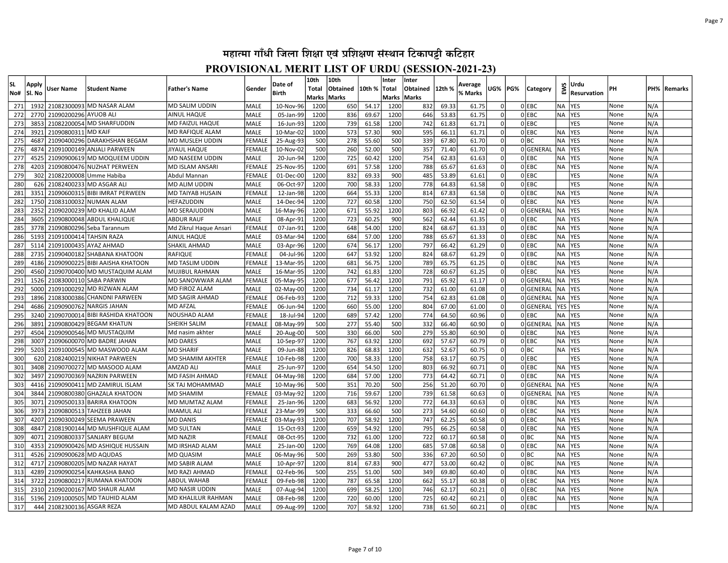| <b>SL</b>  | Apply        | User Name                  | <b>Student Name</b>                              | Father's Name                      | Gender                         | Date of                | 10th<br><b>Total</b> | 10th<br>Obtained | 10th %         | Inter<br> Total | Inter<br>Obtained | 12th %         | Average        | UG%      | PG% | Category             | EWS                    | Urdu                     | PН           | PH%        | Remarks |
|------------|--------------|----------------------------|--------------------------------------------------|------------------------------------|--------------------------------|------------------------|----------------------|------------------|----------------|-----------------|-------------------|----------------|----------------|----------|-----|----------------------|------------------------|--------------------------|--------------|------------|---------|
| No#        | SI. No       |                            |                                                  |                                    |                                | Birth                  | Marks Marks          |                  |                | Marks Marks     |                   |                | % Marks        |          |     |                      |                        | Resurvation              |              |            |         |
| 271        | 1932         | 21082300093                | MD NASAR ALAM                                    | MD SALIM UDDIN                     | <b>MALE</b>                    | 10-Nov-96              | 1200                 | 650              | 54.17          | 1200            | 832               | 69.33          | 61.75          |          |     | 0 EBC                | <b>NA</b>              | <b>YES</b>               | None         | N/A        |         |
| 272        | 2770         | 21090200296                | <b>AYUOB ALI</b>                                 | AINUL HAQUE                        | <b>MALE</b>                    | 05-Jan-99              | 1200                 | 836              | 69.67          | 1200            | 646               | 53.83          | 61.75          |          |     | 0 EBC                | <b>NA</b>              | <b>YES</b>               | None         | N/A        |         |
| 273        | 3853         | 21082200054                | <b>MD SHARFUDDIN</b>                             | MD FAIZUL HAQUE                    | <b>MALE</b>                    | 16-Jun-93              | 1200                 | 739              | 61.58          | 1200            | 742               | 61.83          | 61.71          |          |     | 0 EBC                |                        | YES                      | None         | N/A        |         |
| 274        | 3921         | 21090800311                | <b>MD KAIF</b>                                   | MD RAFIQUE ALAM                    | MALE                           | 10-Mar-02              | 1000                 | 573              | 57.30          | 900             | 595               | 66.11          | 61.71          |          |     | OLEBC                | <b>NA</b>              | <b>YES</b>               | None         | N/A        |         |
| 275        | 4687         | 21090400296                | DARAKHSHAN BEGAM                                 | MD MUSLEH UDDIN                    | <b>FEMAL</b>                   | 25-Aug-93              | 500                  | 278              | 55.60          | 500             | 339               | 67.80          | 61.70          |          |     | olbc                 | <b>NA</b>              | <b>YES</b>               | None         | N/A        |         |
| 276        | 4874         | 21091000149                | <b>ANJALI PARWEEN</b>                            | JIYAUL HAQUE                       | <b>FEMALE</b>                  | 10-Nov-02              | 500                  | 260              | 52.00          | 500             | 357               | 71.40          | 61.70          |          |     | 0GENERAL             | <b>NA</b>              | YES                      | None         | N/A        |         |
| 277        | 4525         | 21090900619                | MD MOQUEEM UDDIN                                 | MD NASEEM UDDIN                    | <b>MALE</b>                    | 20-Jun-94              | 1200                 | 725              | 60.42          | 1200            | 754               | 62.83          | 61.63          | $\Omega$ |     | OLEBC                | <b>NA</b>              | YES                      | None         | N/A        |         |
| 278        | 4203         | 21090800476                | NUZHAT PERWEEN                                   | MD ISLAM ANSARI                    | <b>FEMALI</b>                  | 25-Nov-95              | 1200                 | 691              | 57.58          | 1200            | 788               | 65.67          | 61.63          | $\Omega$ |     | 0 EBC                | <b>NA</b>              | <b>YES</b>               | None         | N/A        |         |
| 279        | 302          | 21082200008                | Umme Habiba                                      | Abdul Mannan                       | <b>FEMALE</b>                  | 01-Dec-00              | 1200                 | 832              | 69.33          | 900             | 485               | 53.89          | 61.61          | $\Omega$ |     | OLEBC                |                        | <b>YES</b>               | None         | N/A        |         |
| 280        | 626          | 21082400233                | MD ASGAR ALI                                     | MD ALIM UDDIN                      | <b>MALE</b>                    | 06-Oct-97              | 1200                 | 700              | 58.33          | 1200            | 778               | 64.83          | 61.58          | $\Omega$ |     | 0 EBC                |                        | YES                      | None         | N/A        |         |
| 281        | 3351         | 21090600315                | <b>BIBI IMRAT PERWEEN</b>                        | MD TAIYAB HUSAIN                   | <b>FEMALE</b>                  | 12-Jan-98              | 1200                 | 664              | 55.33          | 1200            | 814               | 67.83          | 61.58          | $\Omega$ |     | OLEBC                | <b>NA</b>              | <b>YES</b>               | None         | N/A        |         |
| 282        | 1750         | 21083100032                | <b>NUMAN ALAM</b>                                | HEFAZUDDIN                         | <b>MALE</b>                    | 14-Dec-94              | 1200                 | 727              | 60.58          | 1200            | 750               | 62.50          | 61.54          | $\Omega$ |     | $0$ EBC              | <b>NA</b>              | <b>YES</b>               | None         | N/A        |         |
| 283        | 2352         | 21090200239                | MD KHALID ALAM                                   | MD SERAJUDDIN                      | MALE                           | 16-May-96              | 1200                 | 671              | 55.92          | 1200            | 803               | 66.92          | 61.42          | $\Omega$ |     | 0GENERAL             | <b>NA</b>              | <b>YES</b>               | None         | N/A        |         |
| 284        | 3605         |                            | 21090800048 ABDUL KHALIQUE                       | ABDUR RAUF                         | <b>MALE</b>                    | 08-Apr-91              | 1200                 | 723              | 60.25          | 900             | 562               | 62.44          | 61.35          | $\Omega$ |     | 0 EBC                | <b>NA</b>              | YES                      | None         | N/A        |         |
| 285        | 3778         | 21090800296                | Seba Tarannum                                    | Md Zikrul Haque Ansari             | <b>FEMALI</b>                  | 07-Jan-91              | 1200                 | 648              | 54.00          | 1200            | 824               | 68.67          | 61.33          | $\Omega$ |     | 0 EBC                | <b>NA</b>              | <b>YES</b>               | None         | N/A        |         |
| 286        | 5193         | 21091000414 TAHSIN RAZA    |                                                  | AINUL HAQUE                        | <b>MALE</b>                    | 03-Mar-94              | 1200                 | 684              | 57.00          | 1200            | 788               | 65.67          | 61.33          | $\Omega$ |     | OLEBC                | <b>NA</b>              | <b>YES</b>               | None         | N/A        |         |
| 287        | 5114         | 21091000435                | AYAZ AHMAD                                       | SHAKIL AHMAD                       | <b>MALE</b>                    | 03-Apr-96              | 1200                 | 674              | 56.17          | 1200            | 797               | 66.42          | 61.29          | $\Omega$ |     | 0 EBC                | <b>NA</b>              | <b>YES</b>               | None         | N/A        |         |
| 288        | 2735         | 21090400182                | <b>SHABANA KHATOON</b>                           | RAFIQUE                            | <b>FEMALE</b>                  | 04-Jul-96              | 1200                 | 647              | 53.92          | 1200            | 824               | 68.67          | 61.29          | $\Omega$ |     | OLEBC                | <b>NA</b>              | <b>YES</b>               | None         | N/A        |         |
| 289        | 4186         | 21090900225                | <b>BIBI AAISHA KHATOON</b>                       | MD TASLIM UDDIN                    | <b>FEMALE</b>                  | 13-Mar-95              | 1200                 | 681              | 56.75          | 1200            | 789               | 65.75          | 61.25          | 0        |     | OLEBC                | <b>NA</b>              | <b>YES</b>               | None         | N/A        |         |
| 290        | 4560         |                            | 21090700400 MD MUSTAQUIM ALAM                    | MUJIBUL RAHMAN                     | <b>MALE</b>                    | 16-Mar-95              | 1200                 | 742              | 61.83          | 1200            | 728               | 60.67          | 61.25          | 0        |     | <b>O</b> EBC         | <b>NA</b>              | <b>YES</b>               | None         | N/A        |         |
| 291        | 1526         | 21083000110                | <b>SABA PARWIN</b>                               | MD SANOWWAR ALAM                   | FEMALE                         | 05-May-95              | 1200                 | 677              | 56.42          | 1200            | 791               | 65.92          | 61.17          | 0        |     | 0 GENERAL            | <b>NA</b>              | <b>YES</b>               | None         | N/A        |         |
| 292        | 5000         | 21091000292                | MD RIZWAN ALAM                                   | MD FIROZ ALAM                      | MALE                           | 02-May-00              | 1200                 | 734              | 61.17          | 1200            | 732               | 61.00          | 61.08          | 0l       |     | 0GENERAL             | <b>NA</b>              | <b>YES</b>               | None         | N/A        |         |
| 293        | 1896         | 21083000386                | <b>CHANDNI PARWEEN</b>                           | MD SAGIR AHMAD                     | <b>FEMALE</b>                  | 06-Feb-93              | 1200                 | 712              | 59.33          | 1200            | 754               | 62.83          | 61.08          | 0        |     | 0GENERAL             | <b>NA</b>              | <b>YES</b>               | None         | N/A        |         |
| 294        | 4686         | 21090900762                | <b>NARGIS JAHAN</b>                              | <b>MD AFZAL</b>                    | <b>FEMALE</b>                  | 06-Jun-94              | 1200                 | 660              | 55.00          | 1200            | 804               | 67.00          | 61.00          | 0        |     | 0GENERAL             | YES YES                |                          | None         | N/A        |         |
| 295        | 3240         |                            | 21090700014 BIBI RASHIDA KHATOON                 | NOUSHAD ALAM                       | <b>FEMALE</b>                  | 18-Jul-94              | 1200                 | 689              | 57.42          | 1200            | 774               | 64.50          | 60.96          | $\Omega$ |     | OLEBC                | <b>NA</b>              | <b>YES</b>               | None         | N/A        |         |
| 296        | 3891         |                            | 21090800429 BEGAM KHATUN                         | SHEIKH SALIM                       | <b>FEMALE</b>                  | 08-May-99              | 500                  | 277              | 55.40          | 500             | 332               | 66.40          | 60.90          | $\Omega$ |     | 0GENERAL             | <b>NA</b>              | <b>YES</b>               | None         | N/A        |         |
| 297        | 4504         |                            | 21090900546 MD MUSTAQUIM                         | Md nasim akhter                    | <b>MALE</b>                    | 20-Aug-00              | 500                  | 330              | 66.00          | 500             | 279               | 55.80          | 60.90          | $\Omega$ |     | OLEBC                | NA                     | <b>YES</b>               | None         | N/A        |         |
| 298        | 3007         | 21090600070                | MD BADRE JAHAN                                   | <b>MD DARES</b>                    | MALE                           | 10-Sep-97              | 1200                 | 767              | 63.92          | 1200            | 692               | 57.67          | 60.79          |          |     | 0 EBC                | <b>NA</b>              | <b>YES</b>               | None         | N/A        |         |
| 299        | 5203         |                            | 21091000545 MD MASWOOD ALAM                      | MD SHARIF                          | MALE                           | 09-Jun-88              | 1200                 | 826              | 68.83          | 1200            | 632               | 52.67          | 60.75          |          |     | 0 BC                 | <b>NA</b>              | <b>YES</b>               | None         | N/A        |         |
| 300        | 620          | 21082400219                | <b>NIKHAT PARWEEN</b>                            | MD SHAMIM AKHTER                   | FEMALE                         | 10-Feb-98              | 1200                 | 700              | 58.33          | 1200            | 758               | 63.17          | 60.75          |          |     | 0 EBC                |                        | YES                      | None         | N/A        |         |
| 301        | 3408         | 21090700272                | MD MASOOD ALAM                                   | AMZAD ALI                          | <b>MALE</b>                    | 25-Jun-97              | 1200                 | 654              | 54.50          | 1200            | 803               | 66.92          | 60.71          |          |     | 0 EBC                | <b>NA</b>              | YES                      | None         | N/A        |         |
| 302        | 3497         | 21090700369                | <b>NAZRIN PARWEEN</b>                            | MD FASIH AHMAD                     | <b>FEMALE</b>                  | 04-May-98              | 1200                 | 684              | 57.00          | 1200            | 773               | 64.42          | 60.71          |          |     | OLEBC                | <b>NA</b>              | <b>YES</b>               | None         | N/A        |         |
| 303        | 4416<br>3844 | 21090900411                | MD ZAMIRUL ISLAM                                 | SK TAJ MOHAMMAD                    | <b>MALE</b><br><b>FEMALI</b>   | 10-May-96              | 500                  | 351<br>716       | 70.20          | 500<br>1200     | 256               | 51.20          | 60.70<br>60.63 | $\Omega$ |     | 0GENERAI<br>OGENERAL | <b>NA</b><br><b>NA</b> | <b>YES</b><br>YES        | None         | N/A        |         |
| 304        |              | 21090800380                | <b>GHAZALA KHATOON</b>                           | <b>MD SHAMIM</b>                   |                                | 03-May-92              | 1200                 |                  | 59.67          |                 | 739               | 61.58          |                | $\Omega$ |     | OLEBC                |                        |                          | None         | N/A        |         |
| 305        | 3071<br>3973 | 21090500133                | <b>BARIRA KHATOON</b>                            | MD MUMTAZ ALAM                     | <b>FEMALE</b>                  | 25-Jan-96              | 1200                 | 683<br>333       | 56.92          | 1200<br>500     | 772<br>273        | 64.33          | 60.63          | $\Omega$ |     | OLEBC                | <b>NA</b>              | <b>YES</b>               | None         | N/A        |         |
| 306<br>307 | 4207         | 21090800513<br>21090300249 | <b>TAHZEEB JAHAN</b>                             | IMAMUL ALI                         | <b>FEMALE</b><br><b>FEMALE</b> | 23-Mar-99              | 500<br>1200          | 707              | 66.60<br>58.92 | 1200            | 747               | 54.60<br>62.25 | 60.60<br>60.58 | $\Omega$ |     | 0 EBC                | <b>NA</b><br><b>NA</b> | <b>YES</b><br><b>YES</b> | None         | N/A<br>N/A |         |
| 308        | 4847         |                            | <b>SEEMA PRAWEEN</b><br><b>MD MUSHFIQUE ALAM</b> | <b>MD DANIS</b><br>MD SULTAN       |                                | 03-May-93              |                      | 659              |                | 1200            | 795               |                | 60.58          | $\Omega$ |     | 0 EBC                | <b>NA</b>              |                          | None<br>None | N/A        |         |
| 309        | 4071         | 21081900144<br>21090800337 | <b>SANJARY BEGUM</b>                             |                                    | <b>MALE</b><br><b>FEMALE</b>   | 15-Oct-93<br>08-Oct-95 | 1200<br>1200         | 732              | 54.92<br>61.00 | 1200            | 722               | 66.25<br>60.17 | 60.58          | $\Omega$ |     | 0 BC                 | <b>NA</b>              | <b>YES</b><br>YES        |              | N/A        |         |
|            |              |                            |                                                  | <b>MD NAZIR</b>                    |                                |                        |                      |                  |                |                 |                   |                |                | $\Omega$ |     |                      |                        |                          | None         |            |         |
| 310<br>311 | 4353<br>4526 | 21090900628 MD AQUDAS      | 21090900426 MD ASHIQUE HUSSAIN                   | MD IRSHAD ALAM<br><b>MD QUASIM</b> | <b>MALE</b><br>MALE            | 25-Jan-00<br>06-May-96 | 1200<br>500          | 769<br>269       | 64.08<br>53.80 | 1200<br>500     | 685<br>336        | 57.08<br>67.20 | 60.58<br>60.50 | $\Omega$ |     | 0 EBC<br>0 BC        | <b>NA</b><br><b>NA</b> | <b>YES</b><br>YES        | None<br>None | N/A<br>N/A |         |
|            | 4717         |                            | MD NAZAR HAYAT                                   |                                    |                                |                        |                      |                  |                | 900             | 477               |                |                | $\Omega$ |     | 0 BC                 | <b>NA</b>              |                          |              |            |         |
| 312<br>313 | 4289         | 21090800205<br>21090900254 | <b>KAHKASHA BANO</b>                             | MD SABIR ALAM<br>MD RAZI AHMAD     | <b>MALE</b><br><b>FEMALE</b>   | 10-Apr-97<br>02-Feb-96 | 1200<br>500          | 814<br>255       | 67.83<br>51.00 | 500             | 349               | 53.00<br>69.80 | 60.42<br>60.40 | $\Omega$ |     | 0 EBC                | <b>NA</b>              | <b>YES</b><br>YES        | None<br>None | N/A<br>N/A |         |
| 314        | 3722         | 21090800217                | <b>RUMANA KHATOON</b>                            | ABDUL WAHAB                        | <b>FEMALE</b>                  | 09-Feb-98              | 1200                 | 787              | 65.58          | 1200            | 662               | 55.17          | 60.38          | $\Omega$ |     | 0 EBC                | <b>NA</b>              | <b>YES</b>               | None         | N/A        |         |
| 315        | 2310         | 21090200167                | lMD SHAUR ALAM                                   | MD NASIR UDDIN                     | <b>MALE</b>                    | 07-Aug-94              | 1200                 | 699              | 58.25          | 1200            | 746               | 62.17          | 60.21          | $\Omega$ |     | 0 EBC                | <b>NA</b>              | <b>YES</b>               | None         | N/A        |         |
| 316        | 5196         |                            | 21091000505 MD TAUHID ALAM                       | MD KHALILUR RAHMAN                 | <b>MALE</b>                    | 08-Feb-98              | 1200                 | 720              | 60.00          | 1200            | 725               | 60.42          | 60.21          | $\Omega$ |     | 0 EBC                | <b>NA</b>              | YES                      | None         | N/A        |         |
| 317        |              | 444 21082300136 ASGAR REZA |                                                  | MD ABDUL KALAM AZAD                | <b>MALE</b>                    | 09-Aug-99              | 1200                 | 707              | 58.92          | 1200            | 738               | 61.50          | 60.21          | 0        |     | OLEBC                |                        | <b>YES</b>               | None         | N/A        |         |
|            |              |                            |                                                  |                                    |                                |                        |                      |                  |                |                 |                   |                |                |          |     |                      |                        |                          |              |            |         |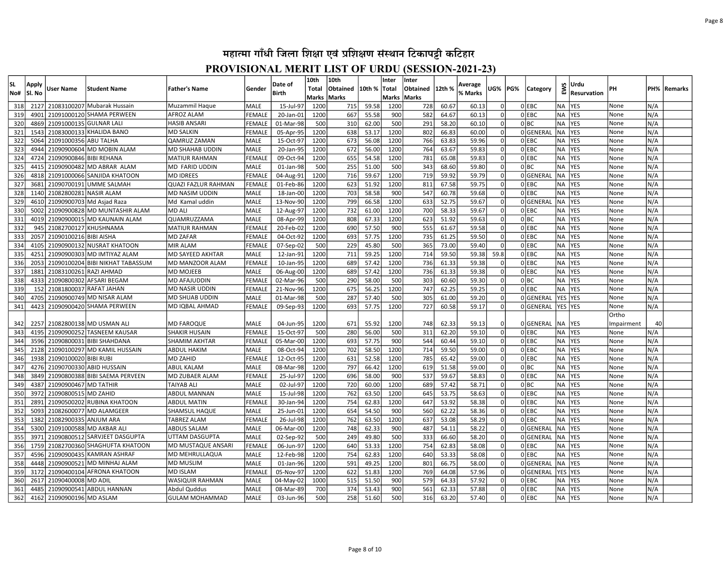| lsL               | Apply                |                                                      |                                                                 | <b>Father's Name</b>                                            | Gender                             | Date of                             | 10th<br>Total      | 10th<br>Obtained  | 10th %                  | Inter             | Inter<br>Obtained | 12th %                  | Average                 | UG%            | PG% |                           | EWS                                 | Urdu                                   | PН                   | PH%               |         |
|-------------------|----------------------|------------------------------------------------------|-----------------------------------------------------------------|-----------------------------------------------------------------|------------------------------------|-------------------------------------|--------------------|-------------------|-------------------------|-------------------|-------------------|-------------------------|-------------------------|----------------|-----|---------------------------|-------------------------------------|----------------------------------------|----------------------|-------------------|---------|
| No#               | Sl. No               | User Name                                            | Student Name                                                    |                                                                 |                                    | <b>Birth</b>                        | Marks              | Marks             |                         | Total<br>Marks    | <b>Marks</b>      |                         | % Marks                 |                |     | Category                  |                                     | <b>Resurvation</b>                     |                      |                   | Remarks |
| 318               | 2127                 |                                                      | 21083100207 Mubarak Hussain                                     | Muzammil Haque                                                  | MALE                               | 15-Jul-97                           | 1200               | 715               | 59.58                   | 1200              | 728               | 60.67                   | 60.13                   | 0              |     | 0 EBC                     | NA                                  | <b>YES</b>                             | None                 | N/A               |         |
| 319               | 4901                 |                                                      | 21091000120 SHAMA PERWEEN                                       | AFROZ ALAM                                                      | FEMALE                             | 20-Jan-01                           | 1200               | 667               | 55.58                   | 900               | 582               | 64.67                   | 60.13                   | $\Omega$       |     | 0 EBC                     | <b>NA</b>                           | YES                                    | None                 | N/A               |         |
| 320               | 4869                 | 21091000135 GULNAR LALI                              |                                                                 | <b>HASIB ANSARI</b>                                             | <b>FEMALE</b>                      | 01-Mar-98                           | 500                | 310               | 62.00                   | 500               | 291               | 58.20                   | 60.10                   | $\Omega$       |     | olbc                      | <b>NA</b>                           | <b>YES</b>                             | None                 | N/A               |         |
| 321               | 1543                 |                                                      | 21083000133 KHALIDA BANO                                        | MD SALKIN                                                       | <b>FEMALE</b>                      | 05-Apr-95                           | 1200               | 638               | 53.17                   | 1200              | 802               | 66.83                   | 60.00                   | $\Omega$       |     | 0GENERAL                  | <b>NA</b>                           | YES                                    | None                 | N/A               |         |
| 322               | 5064                 | 21091000356 ABU TALHA                                |                                                                 | <b>QAMRUZ ZAMAN</b>                                             | <b>MALE</b>                        | 15-Oct-97                           | 1200               | 673               | 56.08                   | 1200              | 766               | 63.83                   | 59.96                   | $\Omega$       |     | $0$ EBC                   | <b>NA</b>                           | <b>YES</b>                             | None                 | N/A               |         |
| 323               | 4944                 |                                                      | 21090900604 MD MOBIN ALAM                                       | MD SHAHAB UDDIN                                                 | MALE                               | 20-Jan-95                           | 1200               | 672               | 56.00                   | 1200              | 764               | 63.67                   | 59.83                   | $\Omega$       |     | 0 EBC                     | <b>NA</b>                           | <b>YES</b>                             | None                 | N/A               |         |
| 324               | 4724                 | 21090900846 BIBI REHANA                              |                                                                 | <b>MATIUR RAHMAN</b>                                            | <b>FEMALE</b>                      | 09-Oct-94                           | 1200               | 655               | 54.58                   | 1200              | 781               | 65.08                   | 59.83                   | $\Omega$       |     | 0 EBC                     | <b>NA</b>                           | <b>YES</b>                             | None                 | N/A               |         |
| 325               | 4415                 |                                                      | 21090900482 MD ABRAR ALAM                                       | MD FARID UDDIN                                                  | MALE                               | 01-Jan-98                           | 500                | 255               | 51.00                   | 500               | 343               | 68.60                   | 59.80                   | $\Omega$       |     | 0 BC                      | <b>NA</b>                           | <b>YES</b>                             | None                 | N/A               |         |
| 326               | 4818                 |                                                      | 21091000066 SANJIDA KHATOON                                     | <b>MD IDREES</b>                                                | <b>FEMALE</b>                      | 04-Aug-91                           | 1200               | 716               | 59.67                   | 1200              | 719               | 59.92                   | 59.79                   |                |     | 0GENERAL                  | <b>NA</b>                           | <b>YES</b>                             | None                 | N/A               |         |
| 327               | 3681                 |                                                      | 21090700191 UMME SALMAH                                         | <b>QUAZI FAZLUR RAHMAN</b>                                      | <b>FEMALE</b>                      | 01-Feb-86                           | 1200               | 623               | 51.92                   | 1200              | 811               | 67.58                   | 59.75                   | $\Omega$       |     | $0$ EBC                   | <b>NA</b>                           | <b>YES</b>                             | None                 | N/A               |         |
| 328               | 1140                 | 21082800281 NASIR ALAM                               |                                                                 | MD NASIM UDDIN                                                  | <b>MALE</b>                        | 18-Jan-00                           | 1200               | 703               | 58.58                   | 900               | 547               | 60.78                   | 59.68                   | $\Omega$       |     | $0$ EBC                   | <b>NA</b>                           | YES                                    | None                 | N/A               |         |
| 329               | 4610                 |                                                      | 21090900703 Md Asjad Raza                                       | Md Kamal uddin                                                  | MALE                               | 13-Nov-90                           | 1200               | 799               | 66.58                   | 1200              | 633               | 52.75                   | 59.67                   | $\Omega$       |     | 0GENERAL                  | <b>NA</b>                           | <b>YES</b>                             | None                 | N/A               |         |
| 330               | 5002                 |                                                      | 21090900828 MD MUNTASHIR ALAM                                   | <b>MD ALI</b>                                                   | MALE                               | 12-Aug-97                           | 1200               | 732               | 61.00                   | 1200              | 700               | 58.33                   | 59.67                   | $\Omega$       |     | 0 EBC                     | <b>NA</b>                           | <b>YES</b>                             | None                 | N/A               |         |
| 331               | 4019                 |                                                      | 21090900015 MD KAUNAIN ALAM                                     | QUAMRUZZAMA                                                     | MALE                               | 08-Apr-99                           | 1200               | 808               | 67.33                   | 1200              | 623               | 51.92                   | 59.63                   | $\Omega$       |     | 0 BC                      | <b>NA</b>                           | <b>YES</b>                             | None                 | N/A               |         |
| 332               | 945                  |                                                      | 21082700127 KHUSHNAMA                                           | <b>MATIUR RAHMAN</b>                                            | FEMALI                             | 20-Feb-02                           | 1200               | 690               | 57.50                   | 900               | 555               | 61.67                   | 59.58                   | $\Omega$       |     | $0$ EBC                   | <b>NA</b>                           | YES                                    | None                 | N/A               |         |
| 333               | 2057                 | 21090100216 BIBI AISHA                               |                                                                 | <b>MD ZAFAR</b>                                                 | <b>FEMALE</b>                      | 04-Oct-92                           | 1200               | 693               | 57.75                   | 1200              | 735               | 61.25                   | 59.50                   | $\Omega$       |     | $0$ EBC                   | <b>NA</b>                           | <b>YES</b>                             | None                 | N/A               |         |
| 334               | 4105                 |                                                      | 21090900132 NUSRAT KHATOON                                      | <b>MIR ALAM</b>                                                 | FEMALE                             | 07-Sep-02                           | 500                | 229               | 45.80                   | 500               | 365               | 73.00                   | 59.40                   |                |     | $0$ EBC                   | <b>NA</b>                           | YES                                    | None                 | N/A               |         |
| 335               | 4251                 |                                                      | 21090900303 MD IMTIYAZ ALAM                                     | MD SAYEED AKHTAR                                                | <b>MALE</b>                        | 12-Jan-91                           | 1200               | 711               | 59.25                   | 1200              | 714               | 59.50                   | 59.38                   | 59.8           |     | $0$ EBC                   | <b>NA</b>                           | <b>YES</b>                             | None                 | N/A               |         |
| 336               | 2053                 |                                                      | 21090100204 BIBI NIKHAT TABASSUM                                | MD MANZOOR ALAM                                                 | FEMALE                             | 10-Jan-95                           | 1200               | 689               | 57.42                   | 1200              | 736               | 61.33                   | 59.38                   |                |     | $0$ EBC                   | <b>NA</b>                           | <b>YES</b>                             | None                 | N/A               |         |
| 337               | 1881                 | 21083100261                                          | <b>RAZI AHMAD</b>                                               | <b>MD MOJEEB</b>                                                | <b>MALE</b>                        | 06-Aug-00                           | 1200               | 689               | 57.42                   | 1200              | 736               | 61.33                   | 59.38                   |                |     | 0 EBC                     | <b>NA</b>                           | <b>YES</b>                             | None                 | N/A               |         |
| 338               | 4333                 | 21090800302                                          | <b>AFSARI BEGAM</b>                                             | <b>MD AFAJUDDIN</b>                                             | <b>FEMALE</b>                      | 02-Mar-96                           | 500                | 290               | 58.00                   | 500               | 303               | 60.60                   | 59.30                   |                |     | 0 BC                      | NA                                  | <b>YES</b>                             | None                 | N/A               |         |
| 339               | 152                  | 21081800037                                          | <b>RAFAT JAHAN</b>                                              | MD NASIR UDDIN                                                  | FEMALE                             | 21-Nov-96                           | 1200               | 675               | 56.25                   | 1200              | 747               | 62.25                   | 59.25                   |                |     | $0$ EBC                   | <b>NA</b>                           | <b>YES</b>                             | None                 | N/A               |         |
| 340               | 4705                 |                                                      | 21090900749 MD NISAR ALAM                                       | MD SHUAB UDDIN                                                  | MALE                               | 01-Mar-98                           | 500                | 287               | 57.40                   | 500               | 305               | 61.00                   | 59.20                   |                |     | 0GENERAL                  | YES                                 | <b>YES</b>                             | None                 | N/A               |         |
| 341               | 4423                 |                                                      | 21090900420 SHAMA PERWEEN                                       | MD IQBAL AHMAD                                                  | <b>FEMALE</b>                      | 09-Sep-93                           | 1200               | 693               | 57.75                   | 1200              | 727               | 60.58                   | 59.17                   |                |     | 0GENERAL                  | YES YES                             |                                        | None                 | N/A               |         |
|                   |                      |                                                      |                                                                 |                                                                 |                                    |                                     |                    |                   |                         |                   |                   |                         |                         |                |     |                           |                                     |                                        | Ortho                |                   |         |
| 342               | 2257                 |                                                      | 21082800138 MD USMAN ALI                                        | <b>MD FAROQUE</b>                                               | MALE                               | 04-Jun-95                           | 1200               | 671               | 55.92                   | 1200              | 748               | 62.33                   | 59.13                   |                |     | 0GENERAL                  | NA)                                 | <b>YES</b>                             | Impairment           | 40                |         |
| 343               | 4195                 |                                                      | 21090900252 TASNEEM KAUSAR                                      | SHAKIR HUSAIN                                                   | <b>FEMALE</b>                      | 15-Oct-97                           | 500                | 280               | 56.00                   | 500               | 311               | 62.20                   | 59.10                   |                |     | $0$ EBC                   | <b>NA</b>                           | <b>YES</b>                             | None                 | N/A               |         |
| 344               | 3596                 |                                                      | 21090800031 BIBI SHAHDANA                                       | SHAMIM AKHTAR                                                   | <b>FEMALE</b>                      | 05-Mar-00                           | 1200               | 693               | 57.75                   | 900               | 544               | 60.44                   | 59.10                   | $\Omega$       |     | $0$ EBC                   | <b>NA</b>                           | <b>YES</b>                             | None                 | N/A               |         |
| 345               | 2128                 |                                                      | 21090100297 MD KAMIL HUSSAIN                                    | ABDUL HAKIM                                                     | MALE                               | 08-Oct-94                           | 1200               | 702               | 58.50                   | 1200              | 714               | 59.50                   | 59.00                   | $\Omega$       |     | $0$ EBC                   | <b>NA</b>                           | <b>YES</b>                             | None                 | N/A               |         |
| 346               | 1938                 | 21090100020 BIBI RUBI                                |                                                                 | <b>MD ZAHID</b>                                                 | <b>FEMALE</b>                      | 12-Oct-95                           | 1200               | 631               | 52.58                   | 1200              | 785               | 65.42                   | 59.00                   | $\Omega$<br>0l |     | 0 EBC                     | <b>NA</b>                           | <b>YES</b>                             | None                 | N/A               |         |
| 347               | 3849                 |                                                      | 4276 21090700330 ABID HUSSAIN<br>21090800388 BIBI SAEMA PERVEEN | ABUL KALAM<br>MD ZUBAER ALAM                                    | MALE                               | 08-Mar-98                           | 1200               | 797               | 66.42                   | 1200              | 619               | 51.58                   | 59.00                   | $\Omega$       |     | 0 BC                      | <b>NA</b>                           | <b>YES</b>                             | None                 | N/A               |         |
| 348<br>349        | 4387                 | 21090900467 MD TATHIR                                |                                                                 | TAIYAB ALI                                                      | <b>FEMALE</b><br><b>MALE</b>       | 25-Jul-97<br>02-Jul-97              | 1200<br>1200       | 696<br>720        | 58.00<br>60.00          | 900<br>1200       | 537<br>689        | 59.67<br>57.42          | 58.83<br>58.71          | 0l             |     | $0$ EBC<br>olbc           | <b>NA</b><br><b>NA</b>              | <b>YES</b><br>YES                      | None<br>None         | N/A<br>N/A        |         |
| 350               | 3972                 | 21090800515 MD ZAHID                                 |                                                                 | <b>ABDUL MANNAN</b>                                             | <b>MALE</b>                        | 15-Jul-98                           | 1200               | 762               | 63.50                   | 1200              | 645               | 53.75                   | 58.63                   | $\Omega$       |     | OLEBC                     | <b>NA</b>                           | <b>YES</b>                             | None                 | N/A               |         |
| 351               | 2891                 |                                                      | 21090500202 RUBINA KHATOON                                      | ABDUL MATIN                                                     | <b>FEMALE</b>                      | 30-Jan-94                           | 1200               | 754               | 62.83                   | 1200              | 647               | 53.92                   | 58.38                   | 0l             |     | OLEBC                     | <b>NA</b>                           | YES                                    | None                 | N/A               |         |
| 352               | 5093                 |                                                      | 21082600077 MD ALAMGEER                                         | SHAMSUL HAQUE                                                   | MALE                               | 25-Jun-01                           | 1200               | 654               | 54.50                   | 900               | 560               | 62.22                   | 58.36                   | $\Omega$       |     | $0$ EBC                   | <b>NA</b>                           | <b>YES</b>                             | None                 | N/A               |         |
| 353               | 1382                 | 21082900335 ANJUM ARA                                |                                                                 | TABREZ ALAM                                                     | <b>FEMALE</b>                      | 26-Jul-98                           | 1200               | 762               | 63.50                   | 1200              | 637               | 53.08                   | 58.29                   | $\Omega$       |     | $0$ EBC                   | <b>NA</b>                           | <b>YES</b>                             | None                 | N/A               |         |
| 354               | 5300                 |                                                      | 21091000588 MD AKBAR ALI                                        | <b>ABDUS SALAM</b>                                              | MALE                               | 06-Mar-00                           | 1200               | 748               | 62.33                   | 900               | 487               | 54.11                   | 58.22                   | $\Omega$       |     | 0GENERAL                  | <b>NA</b>                           | <b>YES</b>                             | None                 | N/A               |         |
| 355               | 3971                 |                                                      | 21090800512 SARVJEET DASGUPTA                                   | UTTAM DASGUPTA                                                  | MALE                               | 02-Sep-92                           | 500                | 249               | 49.80                   | 500               | 333               | 66.60                   | 58.20                   | $\Omega$       |     | 0GENERAL                  | <b>NA</b>                           | <b>YES</b>                             | None                 | N/A               |         |
| 356               | 1759                 |                                                      | 21082700360 SHAGHUFTA KHATOON                                   | MD MUSTAQUE ANSARI                                              | <b>FEMALE</b>                      | 06-Jun-97                           | 1200               | 640               | 53.33                   | 1200              | 754               | 62.83                   | 58.08                   | $\Omega$       |     | $0$ EBC                   | <b>NA</b>                           | YES                                    | None                 | N/A               |         |
| 357               | 4596                 |                                                      | 21090900435 KAMRAN ASHRAF                                       | MD MEHRULLAQUA                                                  | MALE                               | 12-Feb-98                           | 1200               | 754               | 62.83                   | 1200              | 640               | 53.33                   | 58.08                   | $\Omega$       |     | $0$ EBC                   | <b>NA</b>                           | <b>YES</b>                             | None                 | N/A               |         |
| 358               | 4448                 |                                                      | 21090900521 MD MINHAJ ALAM                                      | <b>MD MUSLIM</b>                                                | MALE                               | 01-Jan-96                           | 1200               | 591               | 49.25                   | 1200              | 801               | 66.75                   | 58.00                   | $\Omega$       |     | 0GENERAL                  | NA.                                 | <b>YES</b>                             | None                 | N/A               |         |
| 359               | 3172                 |                                                      | 21090400104 AFRONA KHATOON                                      | <b>MD ISLAM</b>                                                 | <b>FEMALI</b>                      | 05-Nov-97                           | 1200               | 622               | 51.83                   | 1200              | 769               | 64.08                   | 57.96                   | $\Omega$       |     | 0GENERAL                  | <b>YES</b>                          | <b>YES</b>                             | None                 | N/A               |         |
|                   |                      |                                                      |                                                                 |                                                                 |                                    |                                     |                    |                   |                         |                   |                   |                         |                         | $\Omega$       |     |                           |                                     |                                        |                      |                   |         |
|                   |                      |                                                      |                                                                 |                                                                 |                                    |                                     |                    |                   |                         |                   |                   |                         |                         | $\Omega$       |     |                           |                                     |                                        |                      |                   |         |
|                   |                      |                                                      |                                                                 |                                                                 |                                    |                                     |                    |                   |                         |                   |                   |                         |                         |                |     |                           |                                     |                                        |                      |                   |         |
| 360<br>361<br>362 | 2617<br>4485<br>4162 | 21090400008<br>21090900541<br>  21090900196 MD ASLAM | <b>MD ADIL</b><br><b>ABDUL HANNAN</b>                           | <b>WASIQUIR RAHMAN</b><br>Abdul Quddus<br><b>GULAM MOHAMMAD</b> | MALE<br><b>MALE</b><br><b>MALE</b> | 04-May-02<br>08-Mar-89<br>03-Jun-96 | 1000<br>700<br>500 | 515<br>374<br>258 | 51.50<br>53.43<br>51.60 | 900<br>900<br>500 | 579<br>561<br>316 | 64.33<br>62.33<br>63.20 | 57.92<br>57.88<br>57.40 | $\Omega$       |     | OLEBC<br>0 EBC<br>$0$ EBC | <b>NA</b><br><b>NA</b><br><b>NA</b> | <b>YES</b><br><b>YES</b><br><b>YES</b> | None<br>None<br>None | N/A<br>N/A<br>N/A |         |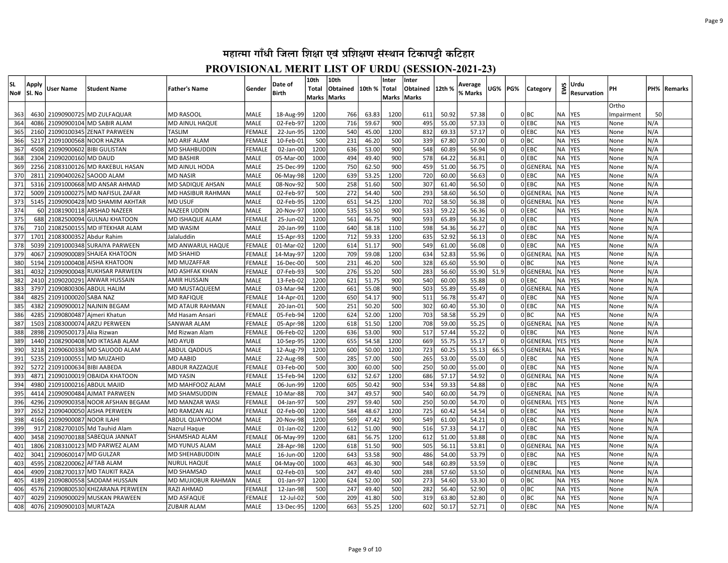| lsl.<br>No# | Apply<br>lSI. No | User Name                | <b>Student Name</b>                                        | <b>Father's Name</b>                    | l Gender                     | Date of<br><b>Birth</b> | 10th<br><b>Total</b><br>Marks | 10th<br>Obtained<br>Marks | 10th %         | Inter<br>Total<br>Marks Marks | Inter<br><b>Obtained</b> | 12th %         | Average<br>% Marks | UG%                  | PG% | Category         | EWS              | Urdu<br>Resurvation      | PН           |            | PH%  Remarks |
|-------------|------------------|--------------------------|------------------------------------------------------------|-----------------------------------------|------------------------------|-------------------------|-------------------------------|---------------------------|----------------|-------------------------------|--------------------------|----------------|--------------------|----------------------|-----|------------------|------------------|--------------------------|--------------|------------|--------------|
|             |                  |                          |                                                            |                                         |                              |                         |                               |                           |                |                               |                          |                |                    |                      |     |                  |                  |                          | Ortho        |            |              |
| 363         | 46301            |                          | 21090900725 MD ZULFAQUAR                                   | <b>MD RASOOL</b>                        | <b>MALE</b>                  | 18-Aug-99               | 1200                          | 766                       | 63.83          | 1200                          | 611                      | 50.92          | 57.38              |                      |     | 0 BC             | <b>NA</b>        | <b>YES</b>               | Impairment   | 50         |              |
| 364         | 4086             |                          | 21090900104 MD SABIR ALAM                                  | <b>MD AINUL HAQUE</b>                   | <b>MALE</b>                  | 02-Feb-97               | 1200                          | 716                       | 59.67          | 900                           | 495                      | 55.00          | 57.33              | $\Omega$             |     | $0$ EBC          | <b>NA</b>        | <b>YES</b>               | None         | N/A        |              |
| 365         | 2160             |                          | 21090100345 ZENAT PARWEEN                                  | <b>TASLIM</b>                           | <b>FEMALE</b>                | 22-Jun-95               | 1200                          | 540                       | 45.00          | 1200                          | 832                      | 69.33          | 57.17              |                      |     | OLEBC            | <b>NA</b>        | <b>YES</b>               | None         | N/A        |              |
| 366         | 5217             | 21091000568 NOOR HAZRA   |                                                            | <b>MD ARIF ALAM</b>                     | FEMALE                       | 10-Feb-01               | 500                           | 231                       | 46.20          | 500                           | 339                      | 67.80          | 57.00              | $\Omega$             |     | 0 BC             | <b>NA</b>        | <b>YES</b>               | None         | N/A        |              |
| 367         | 4508             |                          | 21090900602 BIBI GULISTAN                                  | <b>MD SHAHBUDDIN</b>                    | FEMALE                       | 02-Jan-00               | 1200                          | 636                       | 53.00          | 900                           | 548                      | 60.89          | 56.94              | $\Omega$             |     | OLEBC            | <b>NA</b>        | <b>YES</b>               | None         | N/A        |              |
| 368         | 2304             | 21090200160              | <b>MD DAUD</b>                                             | <b>MD BASHIR</b>                        | <b>MALE</b>                  | 05-Mar-00               | 1000                          | 494                       | 49.40          | 900                           | 578                      | 64.22          | 56.81              | $\Omega$             |     | 0 EBC            | <b>NA</b>        | <b>YES</b>               | None         | N/A        |              |
| 369         | 2256             |                          | 21083100126 MD RAKEBUL HASAN                               | <b>MD AINUL HODA</b>                    | MALE                         | 25-Dec-99               | 1200                          | 750                       | 62.50          | 900                           | 459                      | 51.00          | 56.75              | $\Omega$             |     | 0GENERAI         | <b>NA</b>        | <b>YES</b>               | None         | N/A        |              |
| 370         | 2811             | 21090400262              | <b>SAOOD ALAM</b>                                          | <b>MD NASIR</b>                         | MALE                         | 06-May-98               | 1200                          | 639                       | 53.25          | 1200                          | 720                      | 60.00          | 56.63              | $\Omega$             |     | 0 EBC            | <b>NA</b>        | <b>YES</b>               | None         | N/A        |              |
| 371         | 5316             |                          | 21091000668 MD ANSAR AHMAD                                 | MD SADIQUE AHSAN                        | MALE                         | 08-Nov-92               | 500                           | 258                       | 51.60          | 500                           | 307                      | 61.40          | 56.50              | $\Omega$             |     | OLEBC            | <b>NA</b>        | <b>YES</b>               | None         | N/A        |              |
| 372         | 5009             |                          | 21091000275 MD NAFISUL ZAFAR                               | <b>MD HASIBUR RAHMAN</b>                | <b>MALE</b>                  | 02-Feb-97               | 500                           | 272                       | 54.40          | 500                           | 293                      | 58.60          | 56.50              | $\Omega$             |     | 0GENERAL         | <b>NA</b>        | <b>YES</b>               | None         | N/A        |              |
| 373         | 5145             |                          | 21090900428 MD SHAMIM AKHTAR                               | <b>MD USUF</b>                          | MALE                         | 02-Feb-95               | 1200                          | 651                       | 54.25          | 1200                          | 702                      | 58.50          | 56.38              | $\Omega$             |     | 0GENERAL         | <b>NA</b>        | YES                      | None         | N/A        |              |
| 374         | 60               |                          | 21081900118 ARSHAD NAZEER                                  | <b>NAZEER UDDIN</b>                     | <b>MALE</b>                  | 20-Nov-97               | 1000                          | 535                       | 53.50          | 900                           | 533                      | 59.22          | 56.36              | $\Omega$             |     | $0$ EBC          | <b>NA</b>        | <b>YES</b>               | None         | N/A        |              |
| 375<br>376  | 688<br>710       |                          | 21082500094 GULNAJ KHATOON<br>21082500155 MD IFTEKHAR ALAM | <b>MD ISHAQUE ALAM</b>                  | <b>FEMALE</b><br><b>MALE</b> | 25-Jun-02<br>20-Jan-99  | 1200<br>1100                  | 561<br>640                | 46.75<br>58.18 | 900<br>1100                   | 593<br>598               | 65.89<br>54.36 | 56.32<br>56.27     | $\Omega$<br>$\Omega$ |     | OIEBC<br>$0$ EBC | <b>NA</b>        | <b>YES</b><br><b>YES</b> | None         | N/A<br>N/A |              |
| 377         | 1701             | 21083000352 Abdur Rahim  |                                                            | <b>MD WASIM</b><br>Jalaluddin           | MALE                         | 15-Apr-93               | 1200                          | 712                       | 59.33          | 1200                          | 635                      | 52.92          | 56.13              | $\Omega$             |     | OLEBC            | <b>NA</b>        | <b>YES</b>               | None<br>None | N/A        |              |
| 378         | 5039             |                          | 21091000348 SURAIYA PARWEEN                                | <b>MD ANWARUL HAQUE</b>                 | FEMALE                       | 01-Mar-02               | 1200                          | 614                       | 51.17          | 900                           | 549                      | 61.00          | 56.08              | $\Omega$             |     | $0$ EBC          | <b>NA</b>        | <b>YES</b>               | None         | N/A        |              |
| 379         | 4067             |                          | 21090900089 SHAJEA KHATOON                                 | <b>MD SHAHID</b>                        | FEMALE                       | 14-May-97               | 1200                          | 709                       | 59.08          | 1200                          | 634                      | 52.83          | 55.96              | $\Omega$             |     | 0GENERAL         | <b>NA</b>        | <b>YES</b>               | None         | N/A        |              |
| 380         | 5194             |                          | 21091000408 AISHA KHATOON                                  | <b>MD MUZAFFAR</b>                      | <b>FEMALE</b>                | 16-Dec-00               | 500                           | 231                       | 46.20          | 500                           | 328                      | 65.60          | 55.90              | - Ol                 |     | olbc             | <b>NA</b>        | <b>YES</b>               | None         | N/A        |              |
| 381         | 4032             |                          | 21090900048 RUKHSAR PARWEEN                                | MD ASHFAK KHAN                          | FEMALE                       | 07-Feb-93               | 500                           | 276                       | 55.20          | 500                           | 283                      | 56.60          | 55.90              | 51.9                 |     | 0GENERAL         | <b>NA</b>        | <b>YES</b>               | None         | N/A        |              |
| 382         | 2410             |                          | 21090200291 ANWAR HUSSAIN                                  | <b>AMIR HUSSAIN</b>                     | MALE                         | 13-Feb-02               | 1200                          | 621                       | 51.75          | 900                           | 540                      | 60.00          | 55.88              | $\Omega$             |     | $0$ EBC          | <b>NA</b>        | <b>YES</b>               | None         | N/A        |              |
| 383         | 3797             |                          | 21090800306 ABDUL HALIM                                    | MD MUSTAQUEEM                           | <b>MALE</b>                  | 03-Mar-94               | 1200                          | 661                       | 55.08          | 900                           | 503                      | 55.89          | 55.49              | 0l                   |     | 0GENERAL         | <b>NA</b>        | <b>YES</b>               | None         | N/A        |              |
| 384         | 4825             | 21091000020 SABA NAZ     |                                                            | <b>MD RAFIQUE</b>                       | FEMALE                       | 14-Apr-01               | 1200                          | 650                       | 54.17          | 900                           | 511                      | 56.78          | 55.47              | 0                    |     | $0$ EBC          | <b>NA</b>        | <b>YES</b>               | None         | N/A        |              |
| 385         | 4382             |                          | 21090900012 NAJNIN BEGAM                                   | MD ATAUR RAHMAN                         | FEMALE                       | 20-Jan-01               | 500                           | 251                       | 50.20          | 500                           | 302                      | 60.40          | 55.30              | 0                    |     | $0$ EBC          | <b>NA</b>        | <b>YES</b>               | None         | N/A        |              |
| 386         | 4285             |                          | 21090800487 Ajmeri Khatun                                  | Md Hasam Ansari                         | FEMALE                       | 05-Feb-94               | 1200                          | 624                       | 52.00          | 1200                          | 703                      | 58.58          | 55.29              | $\Omega$             |     | 0 BC             | <b>NA</b>        | <b>YES</b>               | None         | N/A        |              |
| 387         | 1503             |                          | 21083000074 ARZU PERWEEN                                   | <b>SANWAR ALAM</b>                      | FEMALE                       | 05-Apr-98               | 1200                          | 618                       | 51.50          | 1200                          | 708                      | 59.00          | 55.25              | $\Omega$             |     | 0GENERAL         | <b>NA</b>        | <b>YES</b>               | None         | N/A        |              |
| 388         | 2898             | 21090500173 Alia Rizwan  |                                                            | Md Rizwan Alam                          | FEMALE                       | 06-Feb-02               | 1200                          | 636                       | 53.00          | 900                           | 517                      | 57.44          | 55.22              | $\Omega$             |     | 0 EBC            | <b>NA</b>        | <b>YES</b>               | None         | N/A        |              |
| 389         | 1440             |                          | 21082900408 MD IKTASAB ALAM                                | <b>MD AYUB</b>                          | <b>MALE</b>                  | 10-Sep-95               | 1200                          | 655                       | 54.58          | 1200                          | 669                      | 55.75          | 55.17              |                      |     | 0GENERAL         | YES              | <b>YES</b>               | None         | N/A        |              |
| 390         | 3218             |                          | 21090600338 MD SAUOOD ALAM                                 | <b>ABDUL QADDUS</b>                     | <b>MALE</b>                  | 12-Aug-79               | 1200                          | 600                       | 50.00          | 1200                          | 723                      | 60.25          | 55.13              | 66.5                 |     | 0GENERAL         | <b>NA</b>        | <b>YES</b>               | None         | N/A        |              |
| 391         | 5235             | 21091000551              | MD MUZAHID                                                 | <b>MD AABID</b>                         | <b>MALE</b>                  | 22-Aug-98               | 500                           | 285                       | 57.00          | 500                           | 265                      | 53.00          | 55.00              |                      |     | 0 EBC            | <b>NA</b>        | <b>YES</b>               | None         | N/A        |              |
| 392         | 5272             | 21091000634 BIBI AABEDA  |                                                            | <b>ABDUR RAZZAQUE</b>                   | <b>FEMALE</b>                | 03-Feb-00               | 500                           | 300                       | 60.00          | 500                           | 250                      | 50.00          | 55.00              |                      |     | OLEBC            | <b>NA</b>        | <b>YES</b>               | None         | N/A        |              |
| 393         | 4871             | 21090100019              | <b>OBAIDA KHATOON</b>                                      | <b>MD YASIN</b>                         | <b>FEMALE</b>                | 15-Feb-94               | 1200                          | 632                       | 52.67          | 1200                          | 686                      | 57.17          | 54.92              |                      |     | 0GENERAL         | <b>NA</b>        | <b>YES</b>               | None         | N/A        |              |
| 394         | 4980             | 21091000216 ABDUL MAJID  |                                                            | MD MAHFOOZ ALAM                         | MALE                         | 06-Jun-99               | 1200                          | 605                       | 50.42          | 900                           | 534                      | 59.33          | 54.88              |                      |     | OLEBC            | <b>NA</b>        | <b>YES</b>               | None         | N/A        |              |
| 395         | 4414             | 21090900484              | <b>AJMAT PARWEEN</b>                                       | <b>MD SHAMSUDDIN</b>                    | <b>FEMALE</b>                | 10-Mar-88               | 700                           | 347                       | 49.57          | 900                           | 540                      | 60.00          | 54.79              |                      |     | 0GENERAL         | <b>NA</b>        | <b>YES</b>               | None         | N/A        |              |
| 396         | 4296             | 21090900358              | NOOR AFSHAN BEGAM                                          | <b>MD MANZAR WASI</b>                   | FEMALE                       | 04-Jan-97               | 500                           | 297                       | 59.40          | 500                           | 250                      | 50.00          | 54.70              |                      |     | OGENERAL         | <b>YES</b>       | <b>YES</b>               | None         | N/A        |              |
| 397         | 2652             | 21090400050              | <b>AISHA PERWEEN</b>                                       | <b>MD RAMZAN ALI</b>                    | FEMALE                       | 02-Feb-00               | 1200                          | 584                       | 48.67          | 1200                          | 725                      | 60.42          | 54.54              |                      |     | $0$ EBC          | <b>NA</b>        | <b>YES</b>               | None         | N/A        |              |
| 398         | 4166             | 21090900087 NOOR ILAHI   |                                                            | ABDUL QUAYYOOM                          | <b>MALE</b>                  | 20-Nov-98               | 1200                          | 569                       | 47.42          | 900                           | 549                      | 61.00          | 54.21              | $\Omega$             |     | OLEBC            | <b>NA</b>        | <b>YES</b>               | None         | N/A        |              |
| 399         | 917              |                          | 21082700105 Md Tauhid Alam                                 | Nazrul Haque                            | MALE                         | 01-Jan-02               | 1200                          | 612                       | 51.00          | 900                           | 516                      | 57.33          | 54.17              | $\Omega$             |     | 0 EBC            | <b>NA</b>        | <b>YES</b>               | None         | N/A        |              |
| 400         | 3458             | 21090700188              | SABEQUA JANNAT                                             | SHAMSHAD ALAM                           | FEMALE                       | 06-May-99               | 1200                          | 681                       | 56.75          | 1200                          | 612                      | 51.00          | 53.88              | $\Omega$             |     | 0 EBC            | <b>NA</b>        | <b>YES</b>               | None         | N/A        |              |
| 401         | 1806             | 21083100123              | MD PARWEZ ALAM                                             | <b>MD YUNUS ALAM</b>                    | MALE                         | 28-Apr-98               | 1200                          | 618                       | 51.50          | 900                           | 505                      | 56.11          | 53.81              | $\Omega$             |     | 0GENERAL         | <b>NA</b>        | <b>YES</b>               | None         | N/A        |              |
| 402         | 3041             | 21090600147 MD GULZAR    |                                                            | <b>MD SHEHABUDDIN</b>                   | <b>MALE</b>                  | 16-Jun-00               | 1200                          | 643                       | 53.58          | 900                           | 486                      | 54.00          | 53.79              | $\Omega$             |     | 0 EBC            | <b>NA</b>        | <b>YES</b>               | None         | N/A        |              |
| 403         | 4595             | 21082200062              | <b>AFTAB ALAM</b>                                          | <b>NURUL HAQUE</b>                      | MALE                         | 04-May-00               | 1000                          | 463                       | 46.30          | 900                           | 548                      | 60.89          | 53.59              | $\Omega$<br>$\Omega$ |     | 0 EBC            |                  | <b>YES</b>               | None         | N/A        |              |
| 404<br>405  | 4909<br>4189     | 21090800558              | 21082700137 MD TAUKIT RAZA<br><b>SADDAM HUSSAIN</b>        | <b>MD SHAMSAD</b><br>MD MUJIOBUR RAHMAN | <b>MALE</b><br>MALE          | 02-Feb-03<br>01-Jan-97  | 500<br>1200                   | 247<br>624                | 49.40<br>52.00 | 500<br>500                    | 288<br>273               | 57.60<br>54.60 | 53.50<br>53.30     | $\Omega$             |     | 0GENERAL<br>0 BC | NA.<br><b>NA</b> | <b>YES</b><br><b>YES</b> | None<br>None | N/A<br>N/A |              |
| 406         | 4576             | 21090800530              | KHIZARANA PERWEEN                                          | <b>RAZI AHMAD</b>                       | <b>FEMALE</b>                | 12-Jan-98               | 500                           | 247                       | 49.40          | 500                           | 282                      | 56.40          | 52.90              |                      |     | 0 BC             | <b>NA</b>        | <b>YES</b>               | None         | N/A        |              |
| 407         | 4029             |                          | 21090900029 MUSKAN PRAWEEN                                 | MD ASFAQUE                              | FEMALE                       | 12-Jul-02               | 500                           | 209                       | 41.80          | 500                           | 319                      | 63.80          | 52.80              | $\Omega$             |     | 0 BC             | <b>NA</b>        | <b>YES</b>               | None         | N/A        |              |
| 408         |                  | 4076 21090900103 MURTAZA |                                                            | <b>ZUBAIR ALAM</b>                      | <b>MALE</b>                  | 13-Dec-95               | 1200                          | 663                       | 55.25          | 1200                          | 602                      | 50.17          | 52.71              | 0                    |     | $0$ EBC          | <b>NA</b>        | <b>YES</b>               | None         | N/A        |              |
|             |                  |                          |                                                            |                                         |                              |                         |                               |                           |                |                               |                          |                |                    |                      |     |                  |                  |                          |              |            |              |